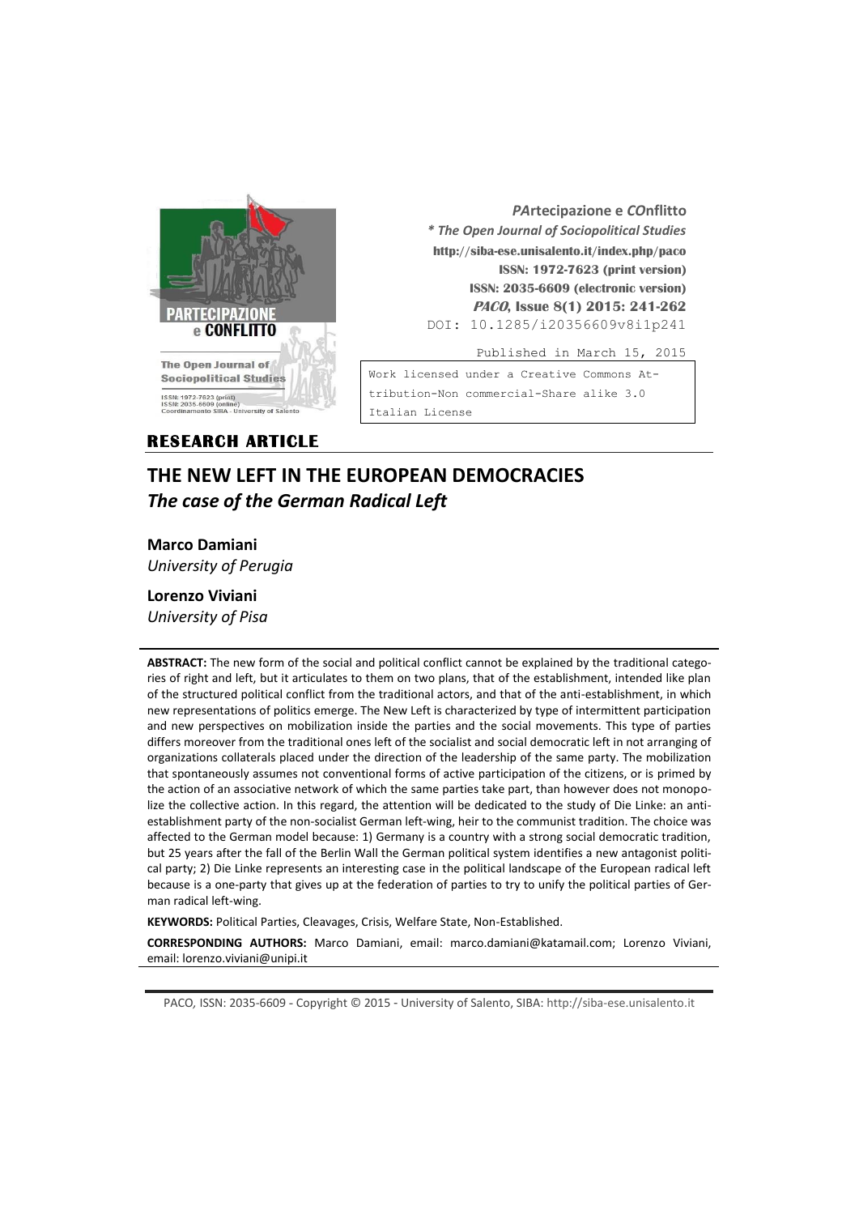

*PA***rtecipazione e** *CO***nflitto** *\* The Open Journal of Sociopolitical Studies* **http://siba-ese.unisalento.it/index.php/paco ISSN: 1972-7623 (print version) ISSN: 2035-6609 (electronic version) PACO, Issue 8(1) 2015: 241-262**  DOI: 10.1285/i20356609v8i1p241

Published in March 15, 2015

Work licensed under a [Creative Commons At](http://creativecommons.org/licenses/by-nc-nd/3.0/it/)[tribution-Non commercial-Share alike 3.0](http://creativecommons.org/licenses/by-nc-nd/3.0/it/)  [Italian License](http://creativecommons.org/licenses/by-nc-nd/3.0/it/) 

## **RESEARCH ARTICLE**

# **THE NEW LEFT IN THE EUROPEAN DEMOCRACIES** *The case of the German Radical Left*

**Marco Damiani** *University of Perugia*

**Lorenzo Viviani** *University of Pisa*

**ABSTRACT:** The new form of the social and political conflict cannot be explained by the traditional categories of right and left, but it articulates to them on two plans, that of the establishment, intended like plan of the structured political conflict from the traditional actors, and that of the anti-establishment, in which new representations of politics emerge. The New Left is characterized by type of intermittent participation and new perspectives on mobilization inside the parties and the social movements. This type of parties differs moreover from the traditional ones left of the socialist and social democratic left in not arranging of organizations collaterals placed under the direction of the leadership of the same party. The mobilization that spontaneously assumes not conventional forms of active participation of the citizens, or is primed by the action of an associative network of which the same parties take part, than however does not monopolize the collective action. In this regard, the attention will be dedicated to the study of Die Linke: an antiestablishment party of the non-socialist German left-wing, heir to the communist tradition. The choice was affected to the German model because: 1) Germany is a country with a strong social democratic tradition, but 25 years after the fall of the Berlin Wall the German political system identifies a new antagonist political party; 2) Die Linke represents an interesting case in the political landscape of the European radical left because is a one-party that gives up at the federation of parties to try to unify the political parties of German radical left-wing.

**KEYWORDS:** Political Parties, Cleavages, Crisis, Welfare State, Non-Established.

**CORRESPONDING AUTHORS:** Marco Damiani, email: marco.damiani@katamail.com; Lorenzo Viviani, email: lorenzo.viviani@unipi.it

PACO*,* ISSN: 2035-6609 - Copyright © 2015 - University of Salento, SIBA: http://siba-ese.unisalento.it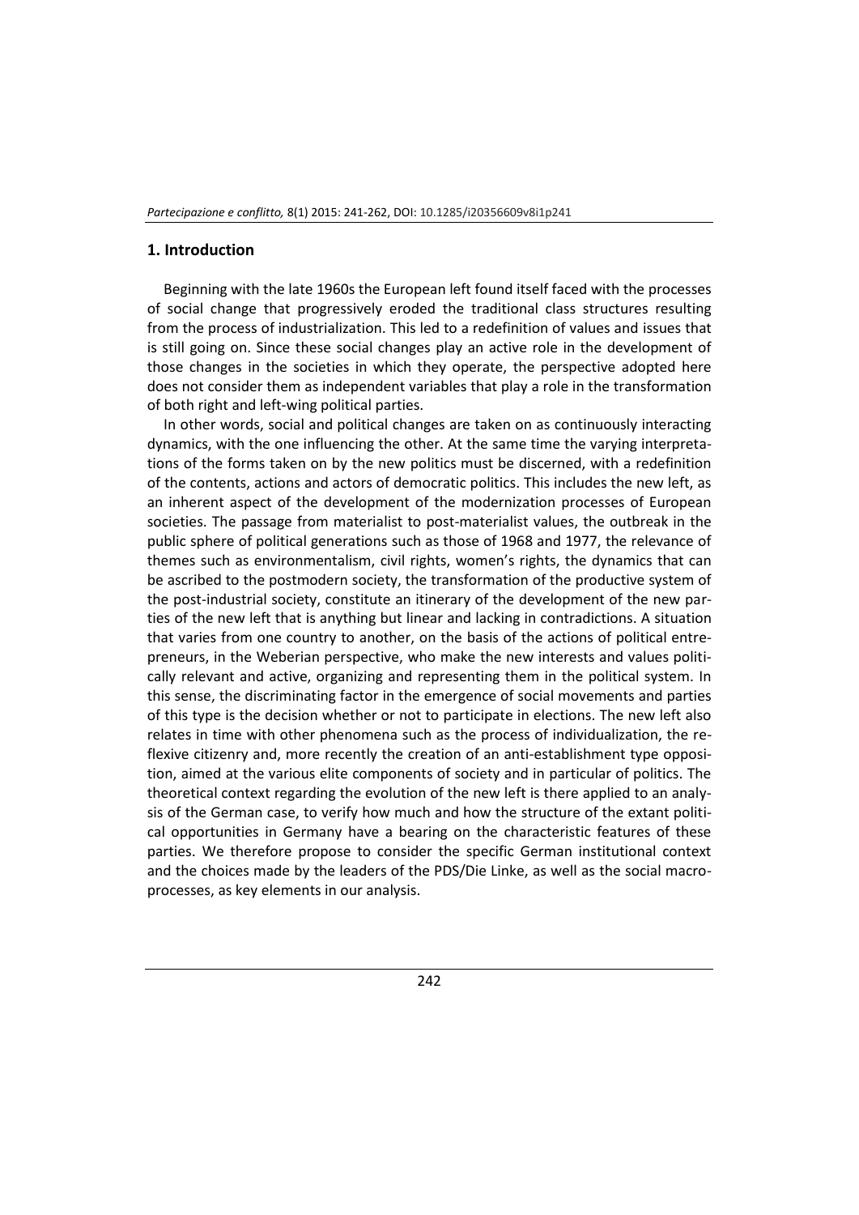#### **1. Introduction**

Beginning with the late 1960s the European left found itself faced with the processes of social change that progressively eroded the traditional class structures resulting from the process of industrialization. This led to a redefinition of values and issues that is still going on. Since these social changes play an active role in the development of those changes in the societies in which they operate, the perspective adopted here does not consider them as independent variables that play a role in the transformation of both right and left-wing political parties.

In other words, social and political changes are taken on as continuously interacting dynamics, with the one influencing the other. At the same time the varying interpretations of the forms taken on by the new politics must be discerned, with a redefinition of the contents, actions and actors of democratic politics. This includes the new left, as an inherent aspect of the development of the modernization processes of European societies. The passage from materialist to post-materialist values, the outbreak in the public sphere of political generations such as those of 1968 and 1977, the relevance of themes such as environmentalism, civil rights, women's rights, the dynamics that can be ascribed to the postmodern society, the transformation of the productive system of the post-industrial society, constitute an itinerary of the development of the new parties of the new left that is anything but linear and lacking in contradictions. A situation that varies from one country to another, on the basis of the actions of political entrepreneurs, in the Weberian perspective, who make the new interests and values politically relevant and active, organizing and representing them in the political system. In this sense, the discriminating factor in the emergence of social movements and parties of this type is the decision whether or not to participate in elections. The new left also relates in time with other phenomena such as the process of individualization, the reflexive citizenry and, more recently the creation of an anti-establishment type opposition, aimed at the various elite components of society and in particular of politics. The theoretical context regarding the evolution of the new left is there applied to an analysis of the German case, to verify how much and how the structure of the extant political opportunities in Germany have a bearing on the characteristic features of these parties. We therefore propose to consider the specific German institutional context and the choices made by the leaders of the PDS/Die Linke, as well as the social macroprocesses, as key elements in our analysis.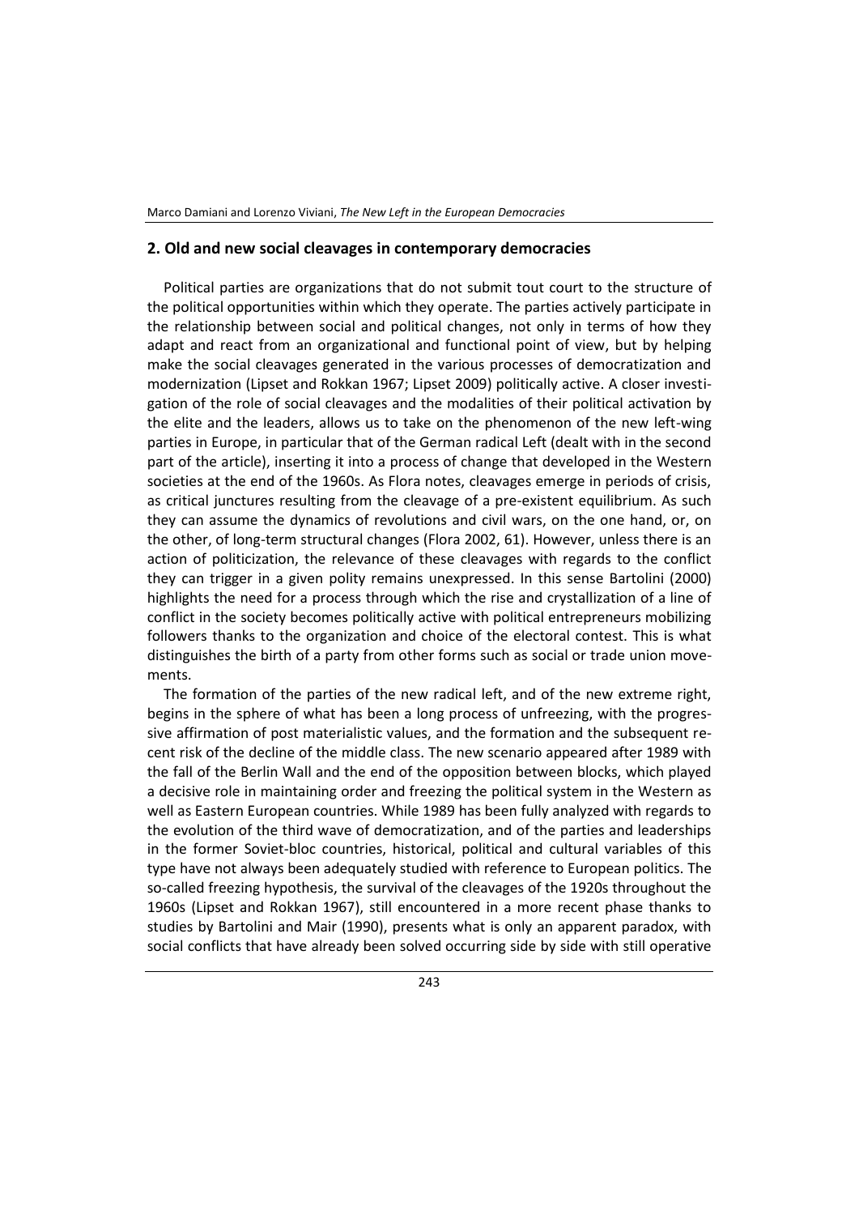#### **2. Old and new social cleavages in contemporary democracies**

Political parties are organizations that do not submit tout court to the structure of the political opportunities within which they operate. The parties actively participate in the relationship between social and political changes, not only in terms of how they adapt and react from an organizational and functional point of view, but by helping make the social cleavages generated in the various processes of democratization and modernization (Lipset and Rokkan 1967; Lipset 2009) politically active. A closer investigation of the role of social cleavages and the modalities of their political activation by the elite and the leaders, allows us to take on the phenomenon of the new left-wing parties in Europe, in particular that of the German radical Left (dealt with in the second part of the article), inserting it into a process of change that developed in the Western societies at the end of the 1960s. As Flora notes, cleavages emerge in periods of crisis, as critical junctures resulting from the cleavage of a pre-existent equilibrium. As such they can assume the dynamics of revolutions and civil wars, on the one hand, or, on the other, of long-term structural changes (Flora 2002, 61). However, unless there is an action of politicization, the relevance of these cleavages with regards to the conflict they can trigger in a given polity remains unexpressed. In this sense Bartolini (2000) highlights the need for a process through which the rise and crystallization of a line of conflict in the society becomes politically active with political entrepreneurs mobilizing followers thanks to the organization and choice of the electoral contest. This is what distinguishes the birth of a party from other forms such as social or trade union movements.

The formation of the parties of the new radical left, and of the new extreme right, begins in the sphere of what has been a long process of unfreezing, with the progressive affirmation of post materialistic values, and the formation and the subsequent recent risk of the decline of the middle class. The new scenario appeared after 1989 with the fall of the Berlin Wall and the end of the opposition between blocks, which played a decisive role in maintaining order and freezing the political system in the Western as well as Eastern European countries. While 1989 has been fully analyzed with regards to the evolution of the third wave of democratization, and of the parties and leaderships in the former Soviet-bloc countries, historical, political and cultural variables of this type have not always been adequately studied with reference to European politics. The so-called freezing hypothesis, the survival of the cleavages of the 1920s throughout the 1960s (Lipset and Rokkan 1967), still encountered in a more recent phase thanks to studies by Bartolini and Mair (1990), presents what is only an apparent paradox, with social conflicts that have already been solved occurring side by side with still operative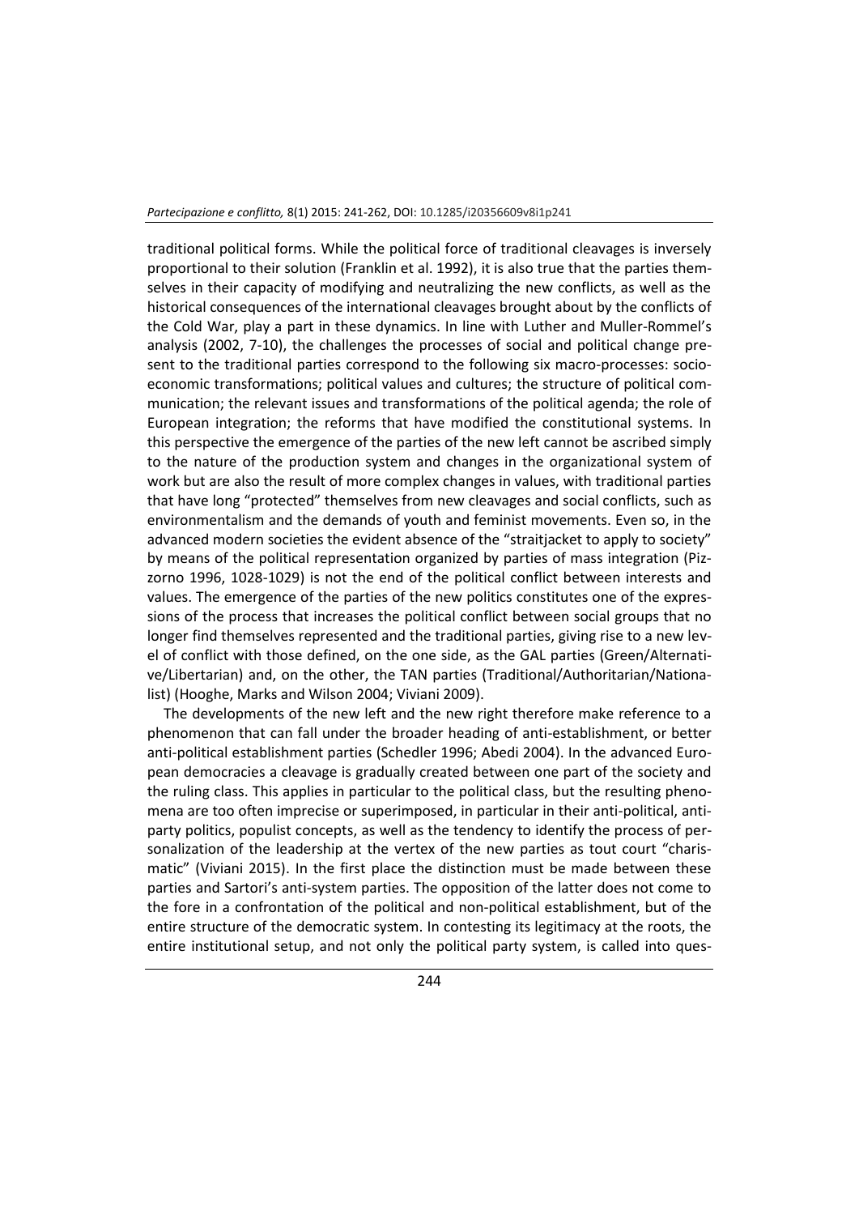traditional political forms. While the political force of traditional cleavages is inversely proportional to their solution (Franklin et al. 1992), it is also true that the parties themselves in their capacity of modifying and neutralizing the new conflicts, as well as the historical consequences of the international cleavages brought about by the conflicts of the Cold War, play a part in these dynamics. In line with Luther and Muller-Rommel's analysis (2002, 7-10), the challenges the processes of social and political change present to the traditional parties correspond to the following six macro-processes: socioeconomic transformations; political values and cultures; the structure of political communication; the relevant issues and transformations of the political agenda; the role of European integration; the reforms that have modified the constitutional systems. In this perspective the emergence of the parties of the new left cannot be ascribed simply to the nature of the production system and changes in the organizational system of work but are also the result of more complex changes in values, with traditional parties that have long "protected" themselves from new cleavages and social conflicts, such as environmentalism and the demands of youth and feminist movements. Even so, in the advanced modern societies the evident absence of the "straitjacket to apply to society" by means of the political representation organized by parties of mass integration (Pizzorno 1996, 1028-1029) is not the end of the political conflict between interests and values. The emergence of the parties of the new politics constitutes one of the expressions of the process that increases the political conflict between social groups that no longer find themselves represented and the traditional parties, giving rise to a new level of conflict with those defined, on the one side, as the GAL parties (Green/Alternative/Libertarian) and, on the other, the TAN parties (Traditional/Authoritarian/Nationalist) (Hooghe, Marks and Wilson 2004; Viviani 2009).

The developments of the new left and the new right therefore make reference to a phenomenon that can fall under the broader heading of anti-establishment, or better anti-political establishment parties (Schedler 1996; Abedi 2004). In the advanced European democracies a cleavage is gradually created between one part of the society and the ruling class. This applies in particular to the political class, but the resulting phenomena are too often imprecise or superimposed, in particular in their anti-political, antiparty politics, populist concepts, as well as the tendency to identify the process of personalization of the leadership at the vertex of the new parties as tout court "charismatic" (Viviani 2015). In the first place the distinction must be made between these parties and Sartori's anti-system parties. The opposition of the latter does not come to the fore in a confrontation of the political and non-political establishment, but of the entire structure of the democratic system. In contesting its legitimacy at the roots, the entire institutional setup, and not only the political party system, is called into ques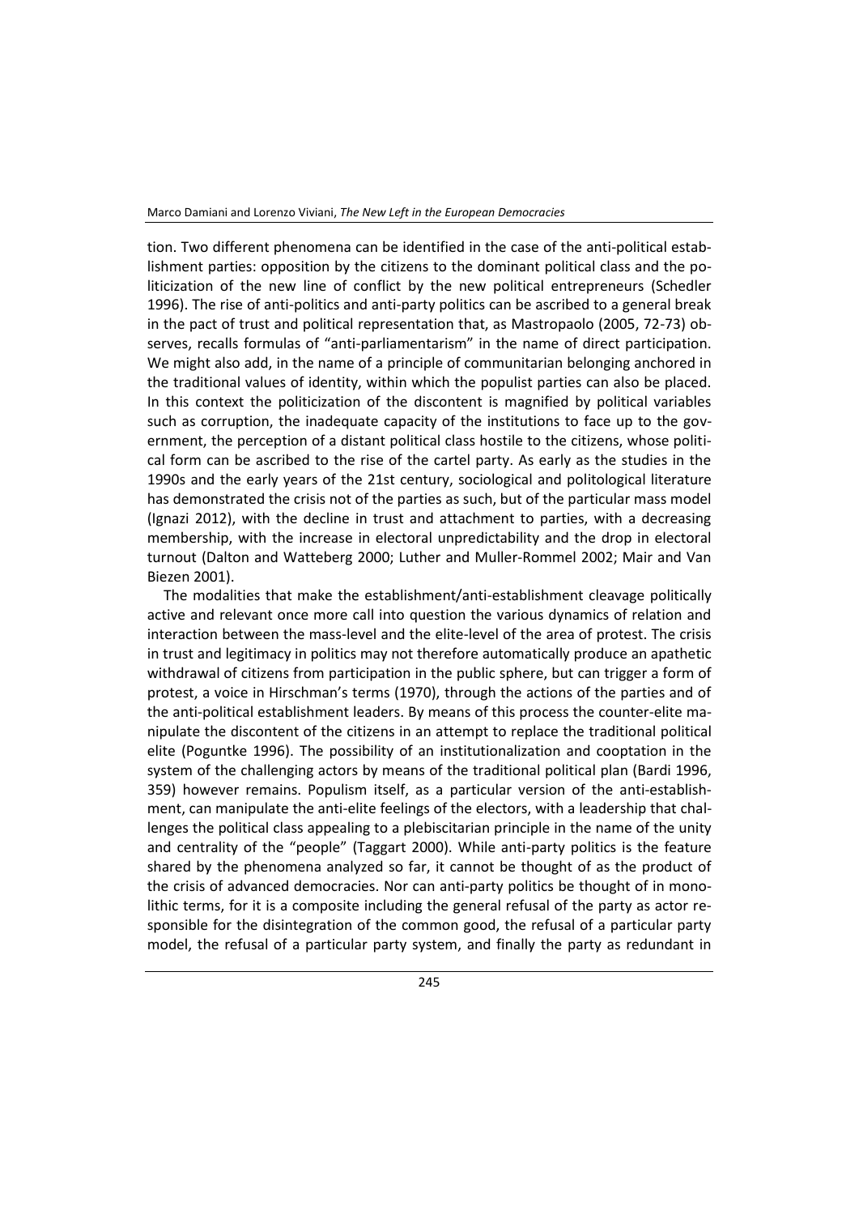tion. Two different phenomena can be identified in the case of the anti-political establishment parties: opposition by the citizens to the dominant political class and the politicization of the new line of conflict by the new political entrepreneurs (Schedler 1996). The rise of anti-politics and anti-party politics can be ascribed to a general break in the pact of trust and political representation that, as Mastropaolo (2005, 72-73) observes, recalls formulas of "anti-parliamentarism" in the name of direct participation. We might also add, in the name of a principle of communitarian belonging anchored in the traditional values of identity, within which the populist parties can also be placed. In this context the politicization of the discontent is magnified by political variables such as corruption, the inadequate capacity of the institutions to face up to the government, the perception of a distant political class hostile to the citizens, whose political form can be ascribed to the rise of the cartel party. As early as the studies in the 1990s and the early years of the 21st century, sociological and politological literature has demonstrated the crisis not of the parties as such, but of the particular mass model (Ignazi 2012), with the decline in trust and attachment to parties, with a decreasing membership, with the increase in electoral unpredictability and the drop in electoral turnout (Dalton and Watteberg 2000; Luther and Muller-Rommel 2002; Mair and Van Biezen 2001).

The modalities that make the establishment/anti-establishment cleavage politically active and relevant once more call into question the various dynamics of relation and interaction between the mass-level and the elite-level of the area of protest. The crisis in trust and legitimacy in politics may not therefore automatically produce an apathetic withdrawal of citizens from participation in the public sphere, but can trigger a form of protest, a voice in Hirschman's terms (1970), through the actions of the parties and of the anti-political establishment leaders. By means of this process the counter-elite manipulate the discontent of the citizens in an attempt to replace the traditional political elite (Poguntke 1996). The possibility of an institutionalization and cooptation in the system of the challenging actors by means of the traditional political plan (Bardi 1996, 359) however remains. Populism itself, as a particular version of the anti-establishment, can manipulate the anti-elite feelings of the electors, with a leadership that challenges the political class appealing to a plebiscitarian principle in the name of the unity and centrality of the "people" (Taggart 2000). While anti-party politics is the feature shared by the phenomena analyzed so far, it cannot be thought of as the product of the crisis of advanced democracies. Nor can anti-party politics be thought of in monolithic terms, for it is a composite including the general refusal of the party as actor responsible for the disintegration of the common good, the refusal of a particular party model, the refusal of a particular party system, and finally the party as redundant in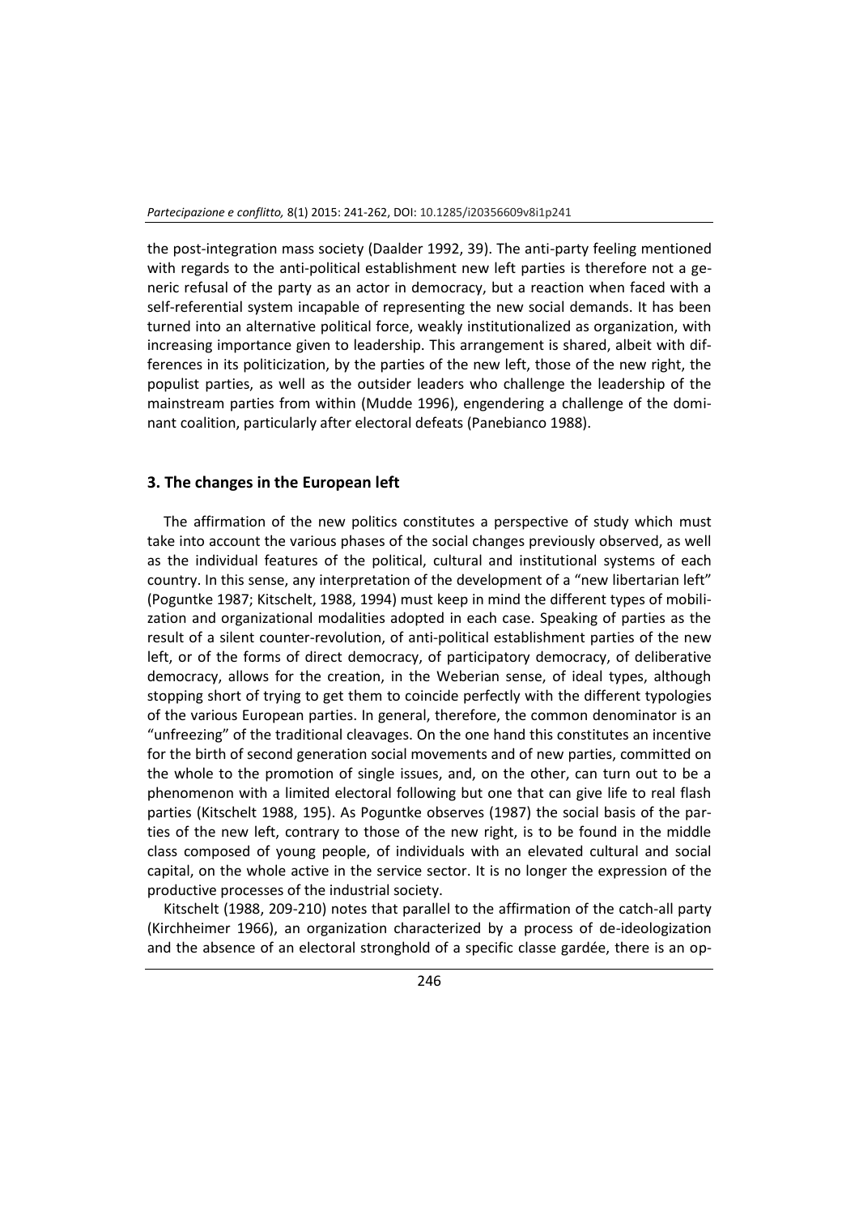the post-integration mass society (Daalder 1992, 39). The anti-party feeling mentioned with regards to the anti-political establishment new left parties is therefore not a generic refusal of the party as an actor in democracy, but a reaction when faced with a self-referential system incapable of representing the new social demands. It has been turned into an alternative political force, weakly institutionalized as organization, with increasing importance given to leadership. This arrangement is shared, albeit with differences in its politicization, by the parties of the new left, those of the new right, the populist parties, as well as the outsider leaders who challenge the leadership of the mainstream parties from within (Mudde 1996), engendering a challenge of the dominant coalition, particularly after electoral defeats (Panebianco 1988).

## **3. The changes in the European left**

The affirmation of the new politics constitutes a perspective of study which must take into account the various phases of the social changes previously observed, as well as the individual features of the political, cultural and institutional systems of each country. In this sense, any interpretation of the development of a "new libertarian left" (Poguntke 1987; Kitschelt, 1988, 1994) must keep in mind the different types of mobilization and organizational modalities adopted in each case. Speaking of parties as the result of a silent counter-revolution, of anti-political establishment parties of the new left, or of the forms of direct democracy, of participatory democracy, of deliberative democracy, allows for the creation, in the Weberian sense, of ideal types, although stopping short of trying to get them to coincide perfectly with the different typologies of the various European parties. In general, therefore, the common denominator is an "unfreezing" of the traditional cleavages. On the one hand this constitutes an incentive for the birth of second generation social movements and of new parties, committed on the whole to the promotion of single issues, and, on the other, can turn out to be a phenomenon with a limited electoral following but one that can give life to real flash parties (Kitschelt 1988, 195). As Poguntke observes (1987) the social basis of the parties of the new left, contrary to those of the new right, is to be found in the middle class composed of young people, of individuals with an elevated cultural and social capital, on the whole active in the service sector. It is no longer the expression of the productive processes of the industrial society.

Kitschelt (1988, 209-210) notes that parallel to the affirmation of the catch-all party (Kirchheimer 1966), an organization characterized by a process of de-ideologization and the absence of an electoral stronghold of a specific classe gardée, there is an op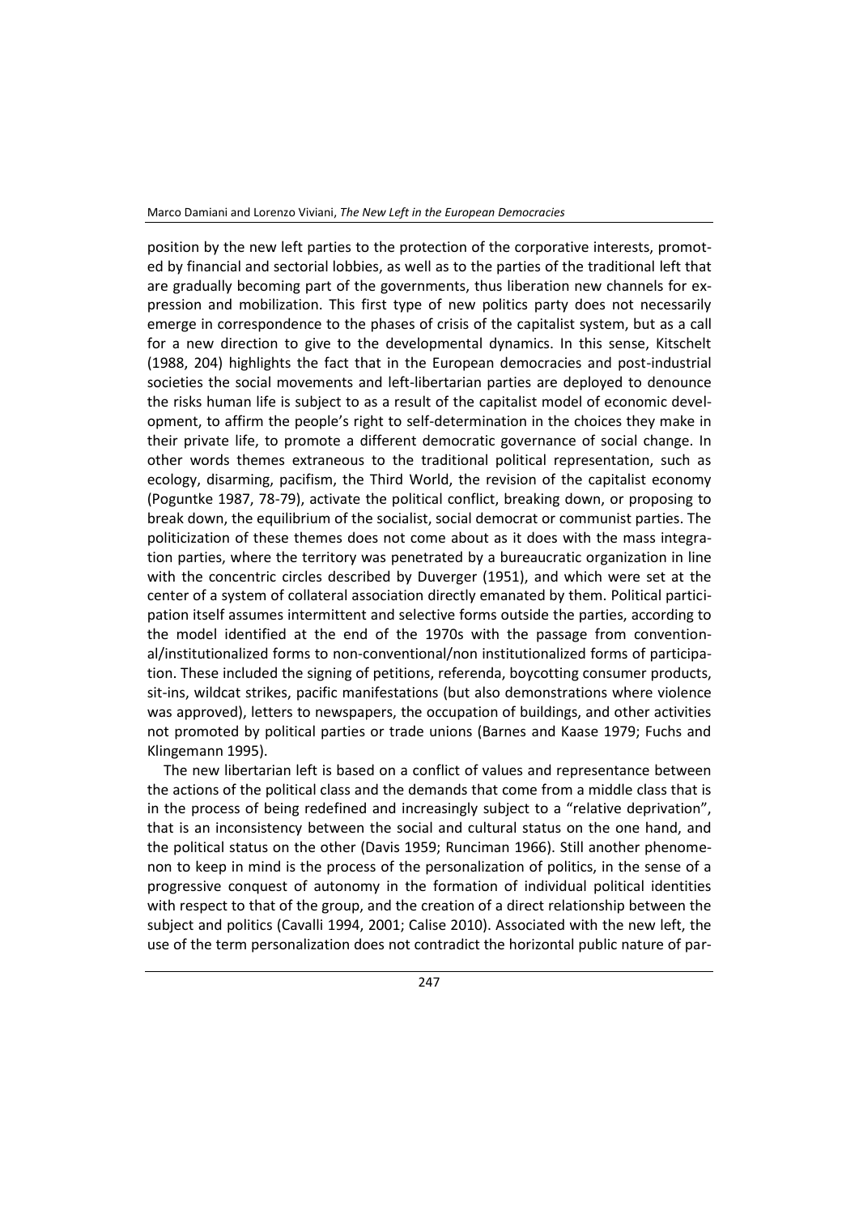position by the new left parties to the protection of the corporative interests, promoted by financial and sectorial lobbies, as well as to the parties of the traditional left that are gradually becoming part of the governments, thus liberation new channels for expression and mobilization. This first type of new politics party does not necessarily emerge in correspondence to the phases of crisis of the capitalist system, but as a call for a new direction to give to the developmental dynamics. In this sense, Kitschelt (1988, 204) highlights the fact that in the European democracies and post-industrial societies the social movements and left-libertarian parties are deployed to denounce the risks human life is subject to as a result of the capitalist model of economic development, to affirm the people's right to self-determination in the choices they make in their private life, to promote a different democratic governance of social change. In other words themes extraneous to the traditional political representation, such as ecology, disarming, pacifism, the Third World, the revision of the capitalist economy (Poguntke 1987, 78-79), activate the political conflict, breaking down, or proposing to break down, the equilibrium of the socialist, social democrat or communist parties. The politicization of these themes does not come about as it does with the mass integration parties, where the territory was penetrated by a bureaucratic organization in line with the concentric circles described by Duverger (1951), and which were set at the center of a system of collateral association directly emanated by them. Political participation itself assumes intermittent and selective forms outside the parties, according to the model identified at the end of the 1970s with the passage from conventional/institutionalized forms to non-conventional/non institutionalized forms of participation. These included the signing of petitions, referenda, boycotting consumer products, sit-ins, wildcat strikes, pacific manifestations (but also demonstrations where violence was approved), letters to newspapers, the occupation of buildings, and other activities not promoted by political parties or trade unions (Barnes and Kaase 1979; Fuchs and Klingemann 1995).

The new libertarian left is based on a conflict of values and representance between the actions of the political class and the demands that come from a middle class that is in the process of being redefined and increasingly subject to a "relative deprivation", that is an inconsistency between the social and cultural status on the one hand, and the political status on the other (Davis 1959; Runciman 1966). Still another phenomenon to keep in mind is the process of the personalization of politics, in the sense of a progressive conquest of autonomy in the formation of individual political identities with respect to that of the group, and the creation of a direct relationship between the subject and politics (Cavalli 1994, 2001; Calise 2010). Associated with the new left, the use of the term personalization does not contradict the horizontal public nature of par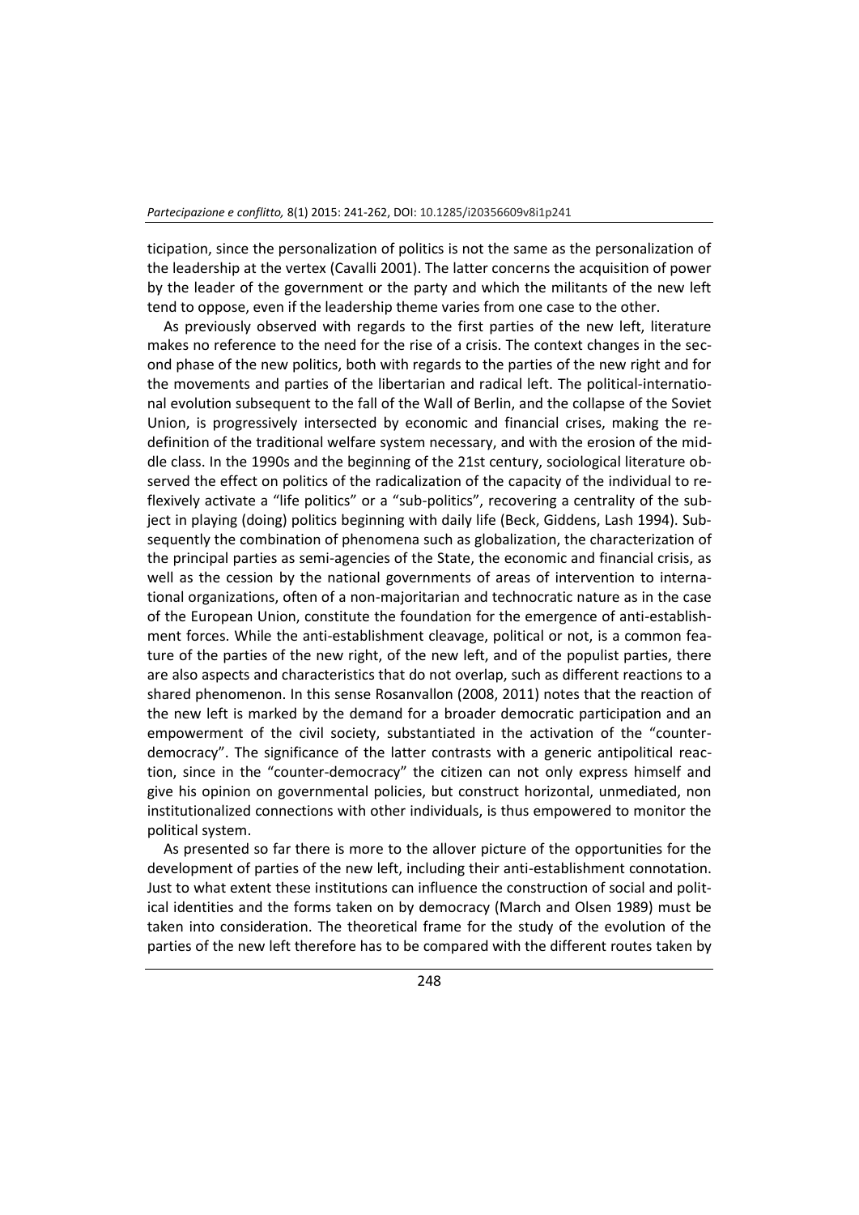ticipation, since the personalization of politics is not the same as the personalization of the leadership at the vertex (Cavalli 2001). The latter concerns the acquisition of power by the leader of the government or the party and which the militants of the new left tend to oppose, even if the leadership theme varies from one case to the other.

As previously observed with regards to the first parties of the new left, literature makes no reference to the need for the rise of a crisis. The context changes in the second phase of the new politics, both with regards to the parties of the new right and for the movements and parties of the libertarian and radical left. The political-international evolution subsequent to the fall of the Wall of Berlin, and the collapse of the Soviet Union, is progressively intersected by economic and financial crises, making the redefinition of the traditional welfare system necessary, and with the erosion of the middle class. In the 1990s and the beginning of the 21st century, sociological literature observed the effect on politics of the radicalization of the capacity of the individual to reflexively activate a "life politics" or a "sub-politics", recovering a centrality of the subject in playing (doing) politics beginning with daily life (Beck, Giddens, Lash 1994). Subsequently the combination of phenomena such as globalization, the characterization of the principal parties as semi-agencies of the State, the economic and financial crisis, as well as the cession by the national governments of areas of intervention to international organizations, often of a non-majoritarian and technocratic nature as in the case of the European Union, constitute the foundation for the emergence of anti-establishment forces. While the anti-establishment cleavage, political or not, is a common feature of the parties of the new right, of the new left, and of the populist parties, there are also aspects and characteristics that do not overlap, such as different reactions to a shared phenomenon. In this sense Rosanvallon (2008, 2011) notes that the reaction of the new left is marked by the demand for a broader democratic participation and an empowerment of the civil society, substantiated in the activation of the "counterdemocracy". The significance of the latter contrasts with a generic antipolitical reaction, since in the "counter-democracy" the citizen can not only express himself and give his opinion on governmental policies, but construct horizontal, unmediated, non institutionalized connections with other individuals, is thus empowered to monitor the political system.

As presented so far there is more to the allover picture of the opportunities for the development of parties of the new left, including their anti-establishment connotation. Just to what extent these institutions can influence the construction of social and political identities and the forms taken on by democracy (March and Olsen 1989) must be taken into consideration. The theoretical frame for the study of the evolution of the parties of the new left therefore has to be compared with the different routes taken by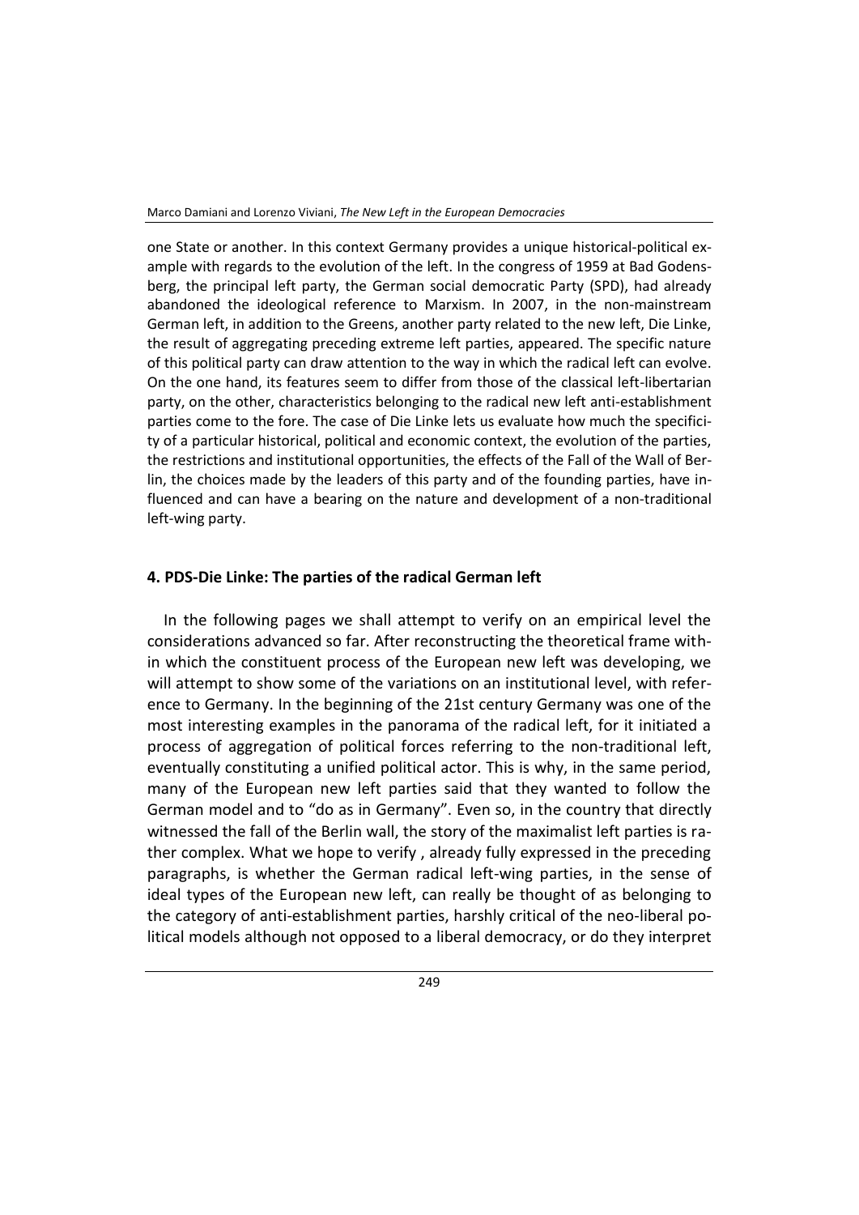one State or another. In this context Germany provides a unique historical-political example with regards to the evolution of the left. In the congress of 1959 at Bad Godensberg, the principal left party, the German social democratic Party (SPD), had already abandoned the ideological reference to Marxism. In 2007, in the non-mainstream German left, in addition to the Greens, another party related to the new left, Die Linke, the result of aggregating preceding extreme left parties, appeared. The specific nature of this political party can draw attention to the way in which the radical left can evolve. On the one hand, its features seem to differ from those of the classical left-libertarian party, on the other, characteristics belonging to the radical new left anti-establishment parties come to the fore. The case of Die Linke lets us evaluate how much the specificity of a particular historical, political and economic context, the evolution of the parties, the restrictions and institutional opportunities, the effects of the Fall of the Wall of Berlin, the choices made by the leaders of this party and of the founding parties, have influenced and can have a bearing on the nature and development of a non-traditional left-wing party.

## **4. PDS-Die Linke: The parties of the radical German left**

In the following pages we shall attempt to verify on an empirical level the considerations advanced so far. After reconstructing the theoretical frame within which the constituent process of the European new left was developing, we will attempt to show some of the variations on an institutional level, with reference to Germany. In the beginning of the 21st century Germany was one of the most interesting examples in the panorama of the radical left, for it initiated a process of aggregation of political forces referring to the non-traditional left, eventually constituting a unified political actor. This is why, in the same period, many of the European new left parties said that they wanted to follow the German model and to "do as in Germany". Even so, in the country that directly witnessed the fall of the Berlin wall, the story of the maximalist left parties is rather complex. What we hope to verify , already fully expressed in the preceding paragraphs, is whether the German radical left-wing parties, in the sense of ideal types of the European new left, can really be thought of as belonging to the category of anti-establishment parties, harshly critical of the neo-liberal political models although not opposed to a liberal democracy, or do they interpret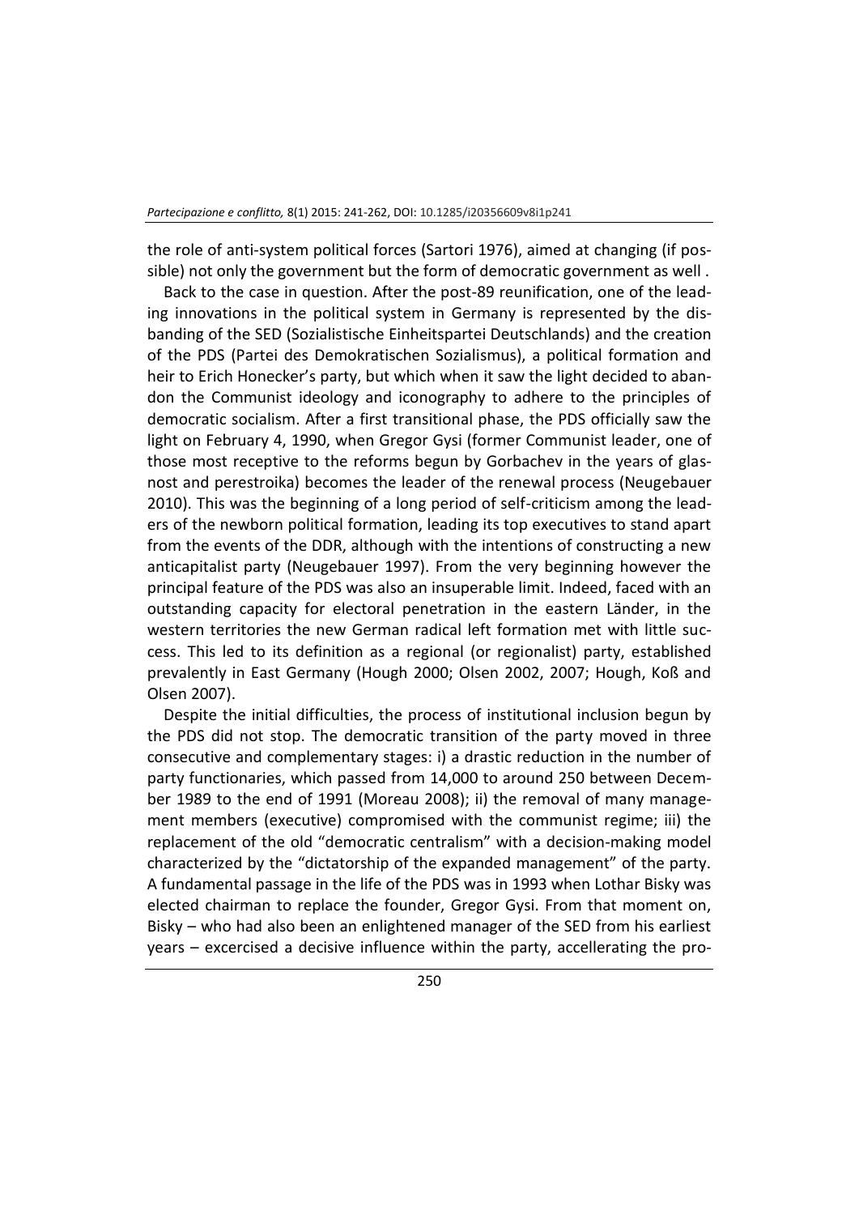the role of anti-system political forces (Sartori 1976), aimed at changing (if possible) not only the government but the form of democratic government as well .

Back to the case in question. After the post-89 reunification, one of the leading innovations in the political system in Germany is represented by the disbanding of the SED (Sozialistische Einheitspartei Deutschlands) and the creation of the PDS (Partei des Demokratischen Sozialismus), a political formation and heir to Erich Honecker's party, but which when it saw the light decided to abandon the Communist ideology and iconography to adhere to the principles of democratic socialism. After a first transitional phase, the PDS officially saw the light on February 4, 1990, when Gregor Gysi (former Communist leader, one of those most receptive to the reforms begun by Gorbachev in the years of glasnost and perestroika) becomes the leader of the renewal process (Neugebauer 2010). This was the beginning of a long period of self-criticism among the leaders of the newborn political formation, leading its top executives to stand apart from the events of the DDR, although with the intentions of constructing a new anticapitalist party (Neugebauer 1997). From the very beginning however the principal feature of the PDS was also an insuperable limit. Indeed, faced with an outstanding capacity for electoral penetration in the eastern Länder, in the western territories the new German radical left formation met with little success. This led to its definition as a regional (or regionalist) party, established prevalently in East Germany (Hough 2000; Olsen 2002, 2007; Hough, Koß and Olsen 2007).

Despite the initial difficulties, the process of institutional inclusion begun by the PDS did not stop. The democratic transition of the party moved in three consecutive and complementary stages: i) a drastic reduction in the number of party functionaries, which passed from 14,000 to around 250 between December 1989 to the end of 1991 (Moreau 2008); ii) the removal of many management members (executive) compromised with the communist regime; iii) the replacement of the old "democratic centralism" with a decision-making model characterized by the "dictatorship of the expanded management" of the party. A fundamental passage in the life of the PDS was in 1993 when Lothar Bisky was elected chairman to replace the founder, Gregor Gysi. From that moment on, Bisky – who had also been an enlightened manager of the SED from his earliest years – excercised a decisive influence within the party, accellerating the pro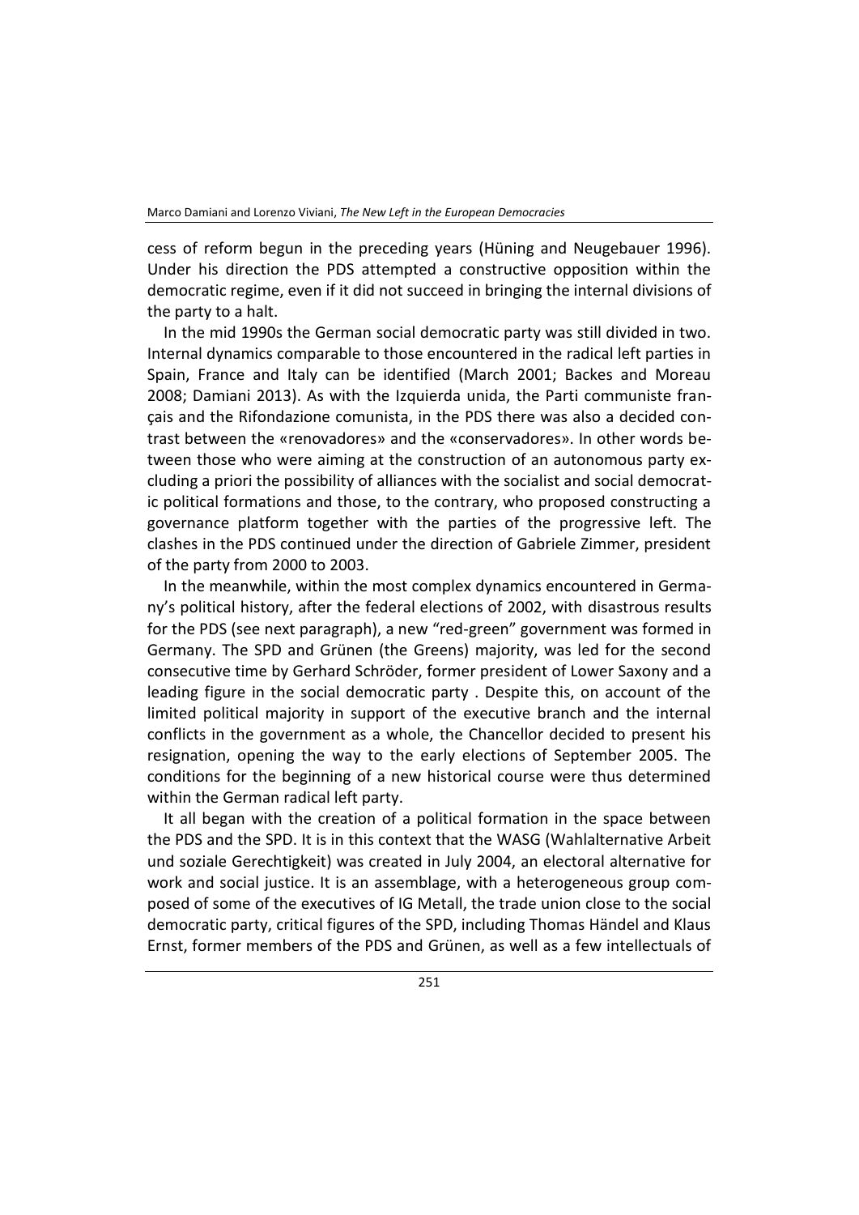cess of reform begun in the preceding years (Hüning and Neugebauer 1996). Under his direction the PDS attempted a constructive opposition within the democratic regime, even if it did not succeed in bringing the internal divisions of the party to a halt.

In the mid 1990s the German social democratic party was still divided in two. Internal dynamics comparable to those encountered in the radical left parties in Spain, France and Italy can be identified (March 2001; Backes and Moreau 2008; Damiani 2013). As with the Izquierda unida, the Parti communiste français and the Rifondazione comunista, in the PDS there was also a decided contrast between the «renovadores» and the «conservadores». In other words between those who were aiming at the construction of an autonomous party excluding a priori the possibility of alliances with the socialist and social democratic political formations and those, to the contrary, who proposed constructing a governance platform together with the parties of the progressive left. The clashes in the PDS continued under the direction of Gabriele Zimmer, president of the party from 2000 to 2003.

In the meanwhile, within the most complex dynamics encountered in Germany's political history, after the federal elections of 2002, with disastrous results for the PDS (see next paragraph), a new "red-green" government was formed in Germany. The SPD and Grünen (the Greens) majority, was led for the second consecutive time by Gerhard Schröder, former president of Lower Saxony and a leading figure in the social democratic party . Despite this, on account of the limited political majority in support of the executive branch and the internal conflicts in the government as a whole, the Chancellor decided to present his resignation, opening the way to the early elections of September 2005. The conditions for the beginning of a new historical course were thus determined within the German radical left party.

It all began with the creation of a political formation in the space between the PDS and the SPD. It is in this context that the WASG (Wahlalternative Arbeit und soziale Gerechtigkeit) was created in July 2004, an electoral alternative for work and social justice. It is an assemblage, with a heterogeneous group composed of some of the executives of IG Metall, the trade union close to the social democratic party, critical figures of the SPD, including Thomas Händel and Klaus Ernst, former members of the PDS and Grünen, as well as a few intellectuals of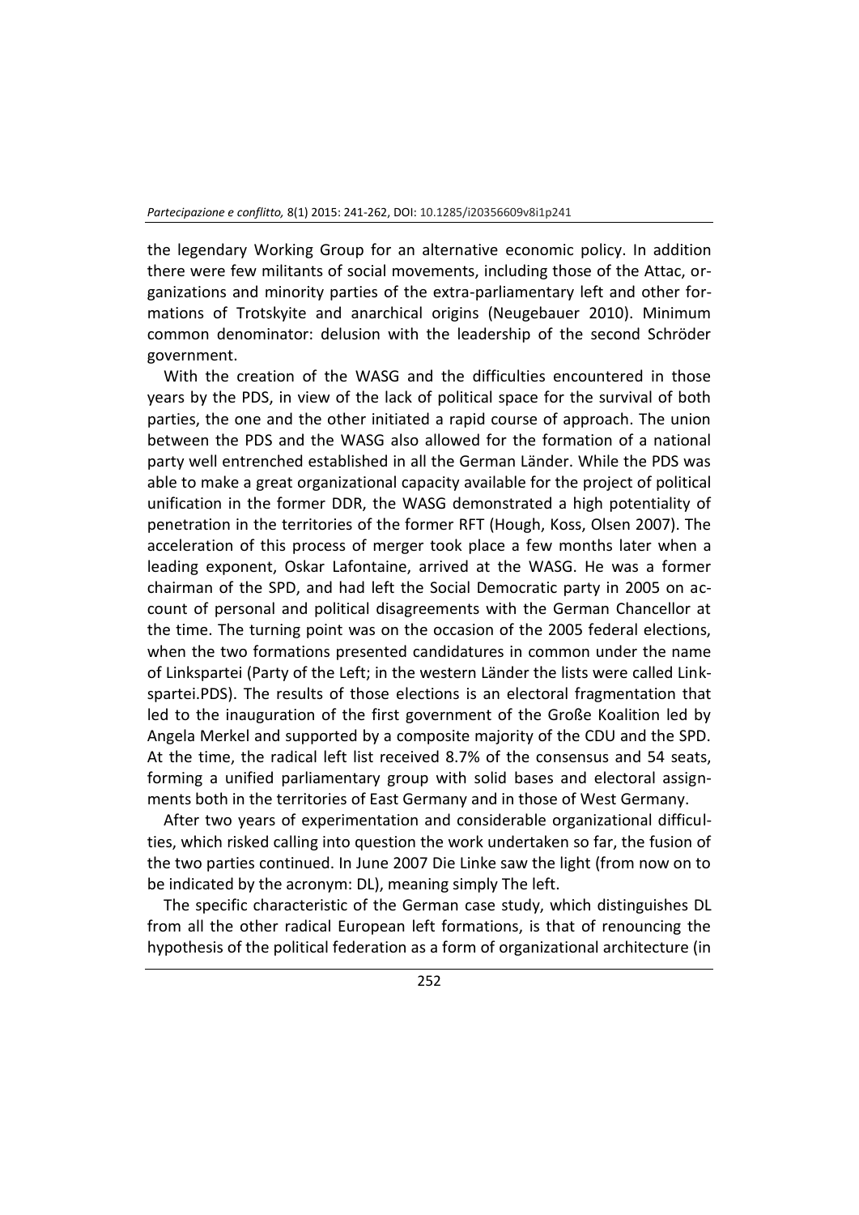the legendary Working Group for an alternative economic policy. In addition there were few militants of social movements, including those of the Attac, organizations and minority parties of the extra-parliamentary left and other formations of Trotskyite and anarchical origins (Neugebauer 2010). Minimum common denominator: delusion with the leadership of the second Schröder government.

With the creation of the WASG and the difficulties encountered in those years by the PDS, in view of the lack of political space for the survival of both parties, the one and the other initiated a rapid course of approach. The union between the PDS and the WASG also allowed for the formation of a national party well entrenched established in all the German Länder. While the PDS was able to make a great organizational capacity available for the project of political unification in the former DDR, the WASG demonstrated a high potentiality of penetration in the territories of the former RFT (Hough, Koss, Olsen 2007). The acceleration of this process of merger took place a few months later when a leading exponent, Oskar Lafontaine, arrived at the WASG. He was a former chairman of the SPD, and had left the Social Democratic party in 2005 on account of personal and political disagreements with the German Chancellor at the time. The turning point was on the occasion of the 2005 federal elections, when the two formations presented candidatures in common under the name of Linkspartei (Party of the Left; in the western Länder the lists were called Linkspartei.PDS). The results of those elections is an electoral fragmentation that led to the inauguration of the first government of the Große Koalition led by Angela Merkel and supported by a composite majority of the CDU and the SPD. At the time, the radical left list received 8.7% of the consensus and 54 seats, forming a unified parliamentary group with solid bases and electoral assignments both in the territories of East Germany and in those of West Germany.

After two years of experimentation and considerable organizational difficulties, which risked calling into question the work undertaken so far, the fusion of the two parties continued. In June 2007 Die Linke saw the light (from now on to be indicated by the acronym: DL), meaning simply The left.

The specific characteristic of the German case study, which distinguishes DL from all the other radical European left formations, is that of renouncing the hypothesis of the political federation as a form of organizational architecture (in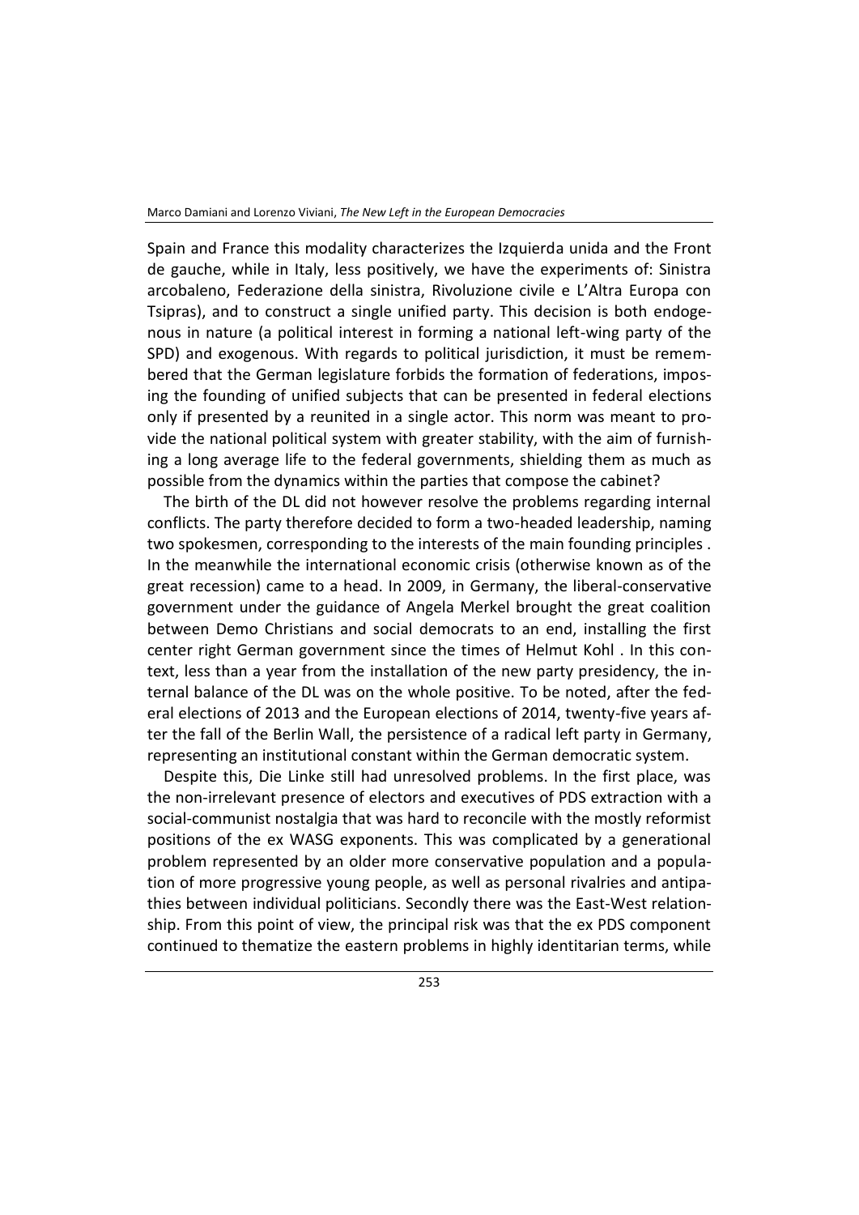Spain and France this modality characterizes the Izquierda unida and the Front de gauche, while in Italy, less positively, we have the experiments of: Sinistra arcobaleno, Federazione della sinistra, Rivoluzione civile e L'Altra Europa con Tsipras), and to construct a single unified party. This decision is both endogenous in nature (a political interest in forming a national left-wing party of the SPD) and exogenous. With regards to political jurisdiction, it must be remembered that the German legislature forbids the formation of federations, imposing the founding of unified subjects that can be presented in federal elections only if presented by a reunited in a single actor. This norm was meant to provide the national political system with greater stability, with the aim of furnishing a long average life to the federal governments, shielding them as much as possible from the dynamics within the parties that compose the cabinet?

The birth of the DL did not however resolve the problems regarding internal conflicts. The party therefore decided to form a two-headed leadership, naming two spokesmen, corresponding to the interests of the main founding principles . In the meanwhile the international economic crisis (otherwise known as of the great recession) came to a head. In 2009, in Germany, the liberal-conservative government under the guidance of Angela Merkel brought the great coalition between Demo Christians and social democrats to an end, installing the first center right German government since the times of Helmut Kohl . In this context, less than a year from the installation of the new party presidency, the internal balance of the DL was on the whole positive. To be noted, after the federal elections of 2013 and the European elections of 2014, twenty-five years after the fall of the Berlin Wall, the persistence of a radical left party in Germany, representing an institutional constant within the German democratic system.

Despite this, Die Linke still had unresolved problems. In the first place, was the non-irrelevant presence of electors and executives of PDS extraction with a social-communist nostalgia that was hard to reconcile with the mostly reformist positions of the ex WASG exponents. This was complicated by a generational problem represented by an older more conservative population and a population of more progressive young people, as well as personal rivalries and antipathies between individual politicians. Secondly there was the East-West relationship. From this point of view, the principal risk was that the ex PDS component continued to thematize the eastern problems in highly identitarian terms, while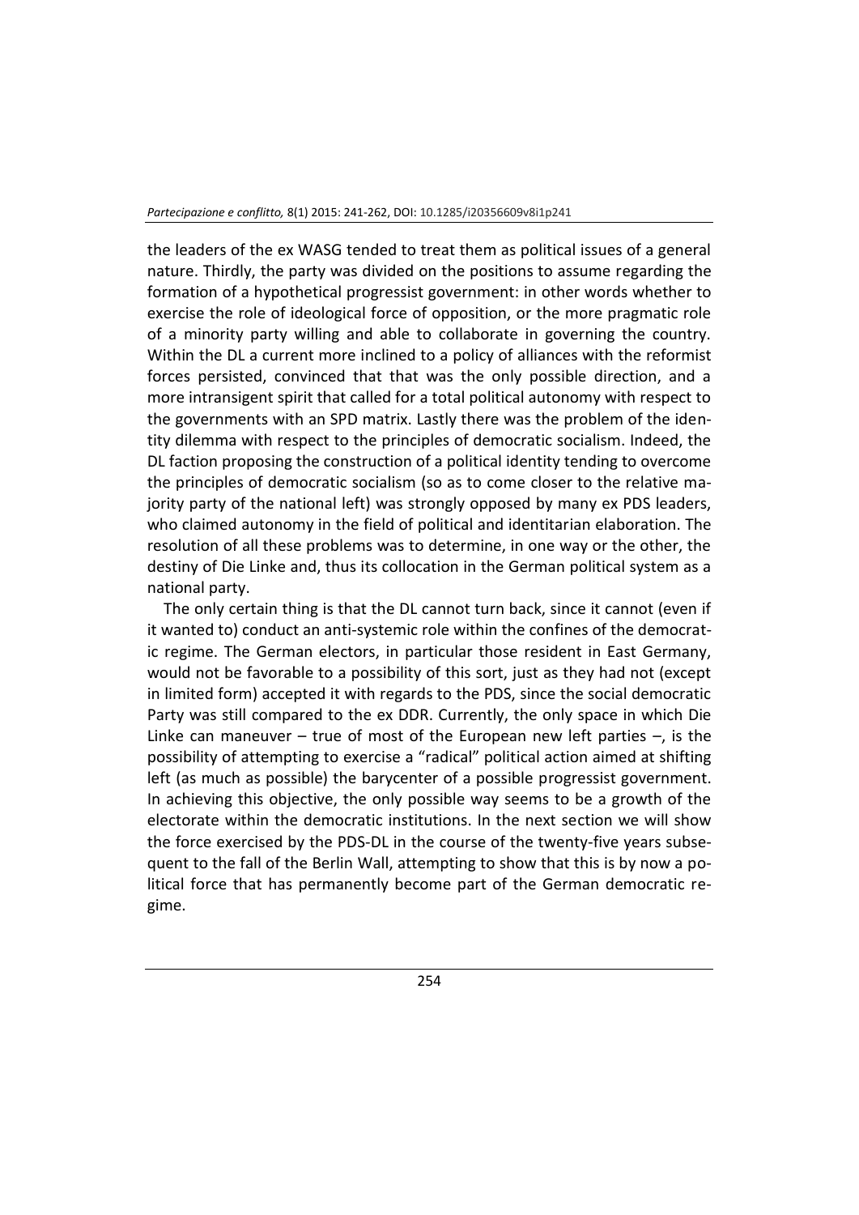the leaders of the ex WASG tended to treat them as political issues of a general nature. Thirdly, the party was divided on the positions to assume regarding the formation of a hypothetical progressist government: in other words whether to exercise the role of ideological force of opposition, or the more pragmatic role of a minority party willing and able to collaborate in governing the country. Within the DL a current more inclined to a policy of alliances with the reformist forces persisted, convinced that that was the only possible direction, and a more intransigent spirit that called for a total political autonomy with respect to the governments with an SPD matrix. Lastly there was the problem of the identity dilemma with respect to the principles of democratic socialism. Indeed, the DL faction proposing the construction of a political identity tending to overcome the principles of democratic socialism (so as to come closer to the relative majority party of the national left) was strongly opposed by many ex PDS leaders, who claimed autonomy in the field of political and identitarian elaboration. The resolution of all these problems was to determine, in one way or the other, the destiny of Die Linke and, thus its collocation in the German political system as a national party.

The only certain thing is that the DL cannot turn back, since it cannot (even if it wanted to) conduct an anti-systemic role within the confines of the democratic regime. The German electors, in particular those resident in East Germany, would not be favorable to a possibility of this sort, just as they had not (except in limited form) accepted it with regards to the PDS, since the social democratic Party was still compared to the ex DDR. Currently, the only space in which Die Linke can maneuver – true of most of the European new left parties –, is the possibility of attempting to exercise a "radical" political action aimed at shifting left (as much as possible) the barycenter of a possible progressist government. In achieving this objective, the only possible way seems to be a growth of the electorate within the democratic institutions. In the next section we will show the force exercised by the PDS-DL in the course of the twenty-five years subsequent to the fall of the Berlin Wall, attempting to show that this is by now a political force that has permanently become part of the German democratic regime.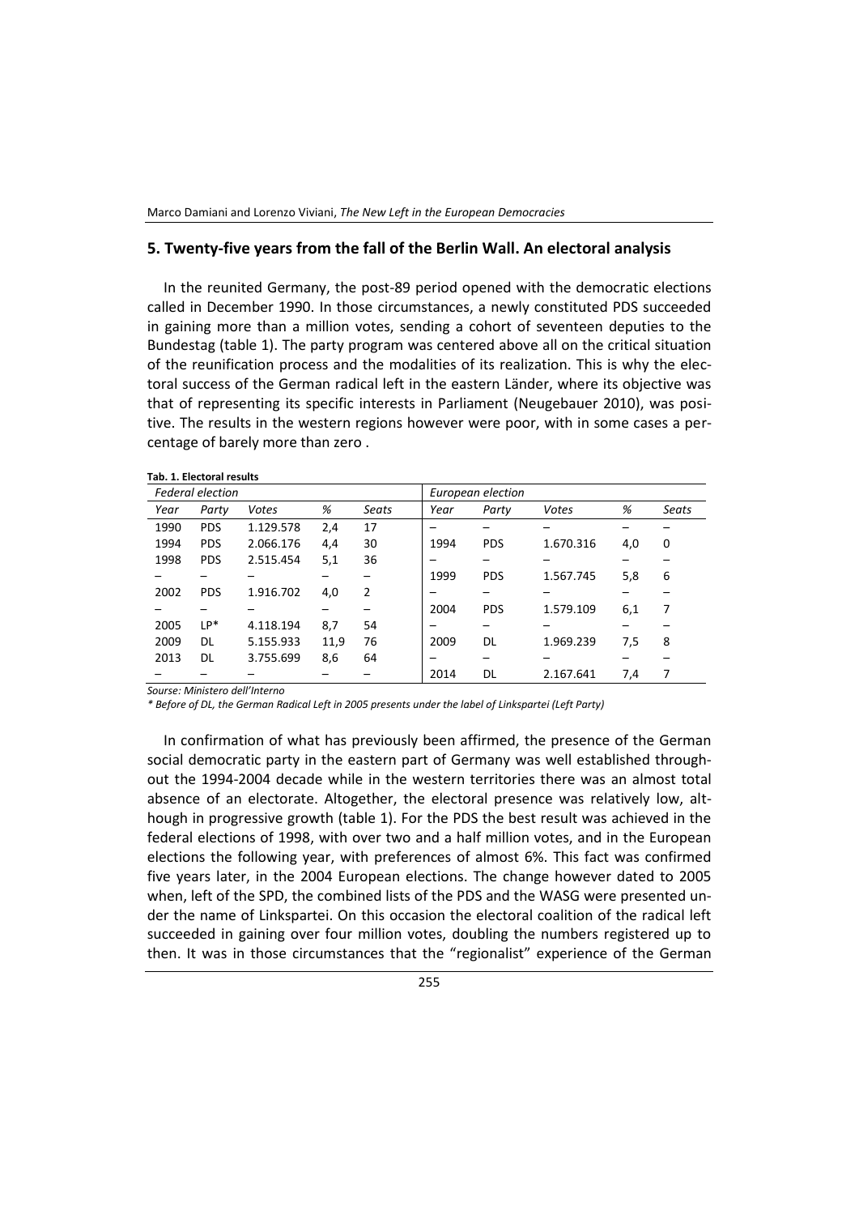#### **5. Twenty-five years from the fall of the Berlin Wall. An electoral analysis**

In the reunited Germany, the post-89 period opened with the democratic elections called in December 1990. In those circumstances, a newly constituted PDS succeeded in gaining more than a million votes, sending a cohort of seventeen deputies to the Bundestag (table 1). The party program was centered above all on the critical situation of the reunification process and the modalities of its realization. This is why the electoral success of the German radical left in the eastern Länder, where its objective was that of representing its specific interests in Parliament (Neugebauer 2010), was positive. The results in the western regions however were poor, with in some cases a percentage of barely more than zero .

| <b>Federal election</b> |            |           |      |       | European election |            |           |     |       |
|-------------------------|------------|-----------|------|-------|-------------------|------------|-----------|-----|-------|
| Year                    | Party      | Votes     | %    | Seats | Year              | Party      | Votes     | %   | Seats |
| 1990                    | <b>PDS</b> | 1.129.578 | 2,4  | 17    |                   |            |           |     |       |
| 1994                    | <b>PDS</b> | 2.066.176 | 4,4  | 30    | 1994              | <b>PDS</b> | 1.670.316 | 4,0 | 0     |
| 1998                    | <b>PDS</b> | 2.515.454 | 5,1  | 36    |                   |            |           |     |       |
|                         |            |           |      |       | 1999              | <b>PDS</b> | 1.567.745 | 5,8 | 6     |
| 2002                    | <b>PDS</b> | 1.916.702 | 4,0  | 2     |                   |            |           |     |       |
|                         |            |           |      |       | 2004              | <b>PDS</b> | 1.579.109 | 6,1 | 7     |
| 2005                    | LP*        | 4.118.194 | 8,7  | 54    |                   |            |           |     |       |
| 2009                    | DL         | 5.155.933 | 11,9 | 76    | 2009              | <b>DL</b>  | 1.969.239 | 7,5 | 8     |
| 2013                    | DL         | 3.755.699 | 8,6  | 64    |                   |            |           |     |       |
|                         |            |           |      |       | 2014              | DL.        | 2.167.641 | 7,4 | 7     |

*Sourse: Ministero dell'Interno*

**Tab. 1. Electoral results**

*\* Before of DL, the German Radical Left in 2005 presents under the label of Linkspartei (Left Party)*

In confirmation of what has previously been affirmed, the presence of the German social democratic party in the eastern part of Germany was well established throughout the 1994-2004 decade while in the western territories there was an almost total absence of an electorate. Altogether, the electoral presence was relatively low, although in progressive growth (table 1). For the PDS the best result was achieved in the federal elections of 1998, with over two and a half million votes, and in the European elections the following year, with preferences of almost 6%. This fact was confirmed five years later, in the 2004 European elections. The change however dated to 2005 when, left of the SPD, the combined lists of the PDS and the WASG were presented under the name of Linkspartei. On this occasion the electoral coalition of the radical left succeeded in gaining over four million votes, doubling the numbers registered up to then. It was in those circumstances that the "regionalist" experience of the German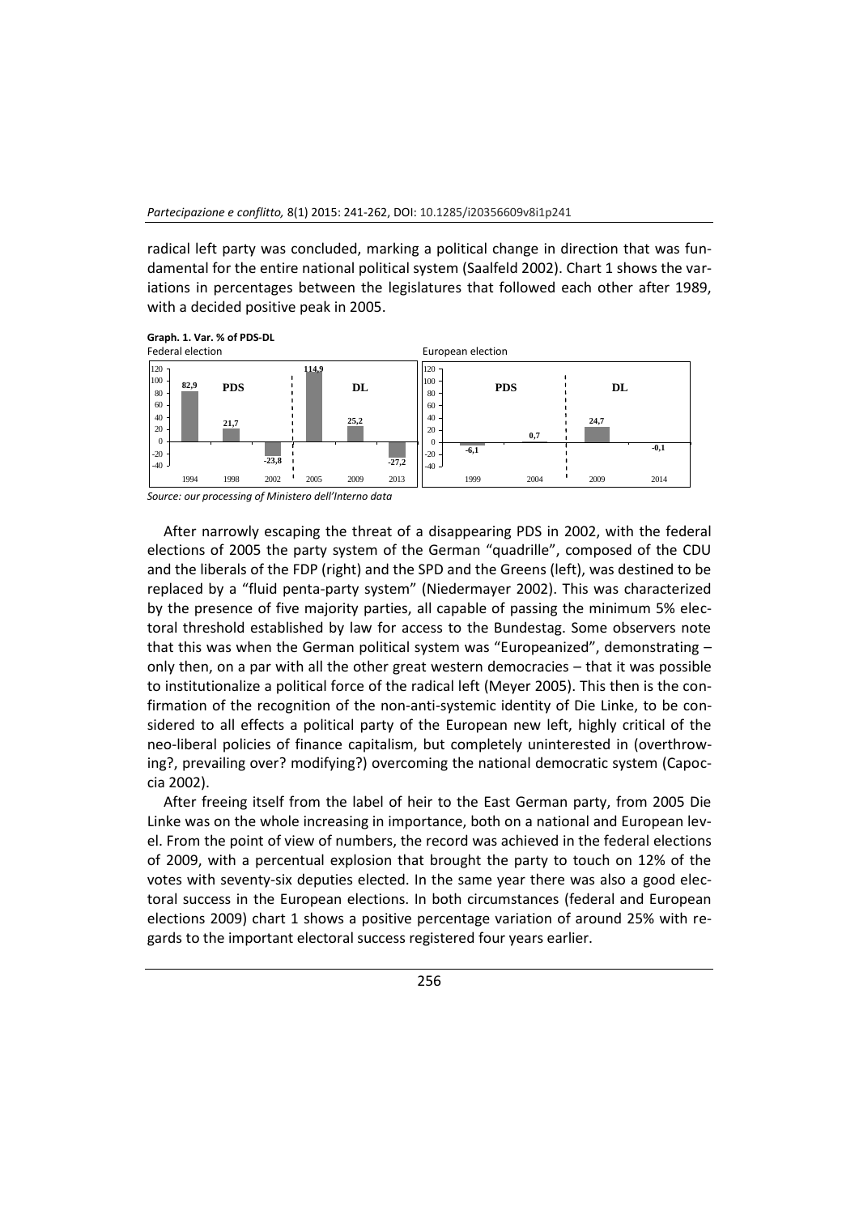radical left party was concluded, marking a political change in direction that was fundamental for the entire national political system (Saalfeld 2002). Chart 1 shows the variations in percentages between the legislatures that followed each other after 1989, with a decided positive peak in 2005.



After narrowly escaping the threat of a disappearing PDS in 2002, with the federal elections of 2005 the party system of the German "quadrille", composed of the CDU and the liberals of the FDP (right) and the SPD and the Greens (left), was destined to be replaced by a "fluid penta-party system" (Niedermayer 2002). This was characterized by the presence of five majority parties, all capable of passing the minimum 5% electoral threshold established by law for access to the Bundestag. Some observers note that this was when the German political system was "Europeanized", demonstrating – only then, on a par with all the other great western democracies – that it was possible to institutionalize a political force of the radical left (Meyer 2005). This then is the confirmation of the recognition of the non-anti-systemic identity of Die Linke, to be considered to all effects a political party of the European new left, highly critical of the neo-liberal policies of finance capitalism, but completely uninterested in (overthrowing?, prevailing over? modifying?) overcoming the national democratic system (Capoccia 2002).

After freeing itself from the label of heir to the East German party, from 2005 Die Linke was on the whole increasing in importance, both on a national and European level. From the point of view of numbers, the record was achieved in the federal elections of 2009, with a percentual explosion that brought the party to touch on 12% of the votes with seventy-six deputies elected. In the same year there was also a good electoral success in the European elections. In both circumstances (federal and European elections 2009) chart 1 shows a positive percentage variation of around 25% with regards to the important electoral success registered four years earlier.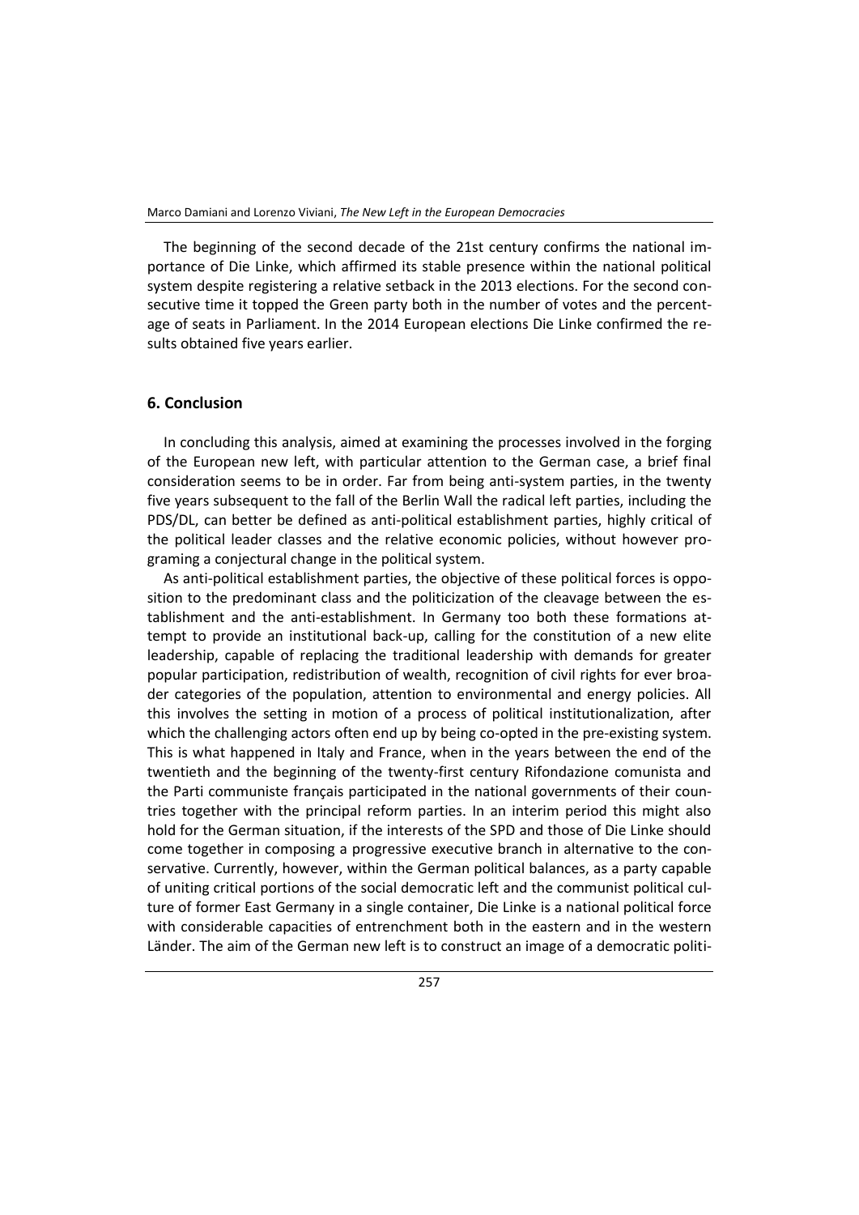The beginning of the second decade of the 21st century confirms the national importance of Die Linke, which affirmed its stable presence within the national political system despite registering a relative setback in the 2013 elections. For the second consecutive time it topped the Green party both in the number of votes and the percentage of seats in Parliament. In the 2014 European elections Die Linke confirmed the results obtained five years earlier.

#### **6. Conclusion**

In concluding this analysis, aimed at examining the processes involved in the forging of the European new left, with particular attention to the German case, a brief final consideration seems to be in order. Far from being anti-system parties, in the twenty five years subsequent to the fall of the Berlin Wall the radical left parties, including the PDS/DL, can better be defined as anti-political establishment parties, highly critical of the political leader classes and the relative economic policies, without however programing a conjectural change in the political system.

As anti-political establishment parties, the objective of these political forces is opposition to the predominant class and the politicization of the cleavage between the establishment and the anti-establishment. In Germany too both these formations attempt to provide an institutional back-up, calling for the constitution of a new elite leadership, capable of replacing the traditional leadership with demands for greater popular participation, redistribution of wealth, recognition of civil rights for ever broader categories of the population, attention to environmental and energy policies. All this involves the setting in motion of a process of political institutionalization, after which the challenging actors often end up by being co-opted in the pre-existing system. This is what happened in Italy and France, when in the years between the end of the twentieth and the beginning of the twenty-first century Rifondazione comunista and the Parti communiste français participated in the national governments of their countries together with the principal reform parties. In an interim period this might also hold for the German situation, if the interests of the SPD and those of Die Linke should come together in composing a progressive executive branch in alternative to the conservative. Currently, however, within the German political balances, as a party capable of uniting critical portions of the social democratic left and the communist political culture of former East Germany in a single container, Die Linke is a national political force with considerable capacities of entrenchment both in the eastern and in the western Länder. The aim of the German new left is to construct an image of a democratic politi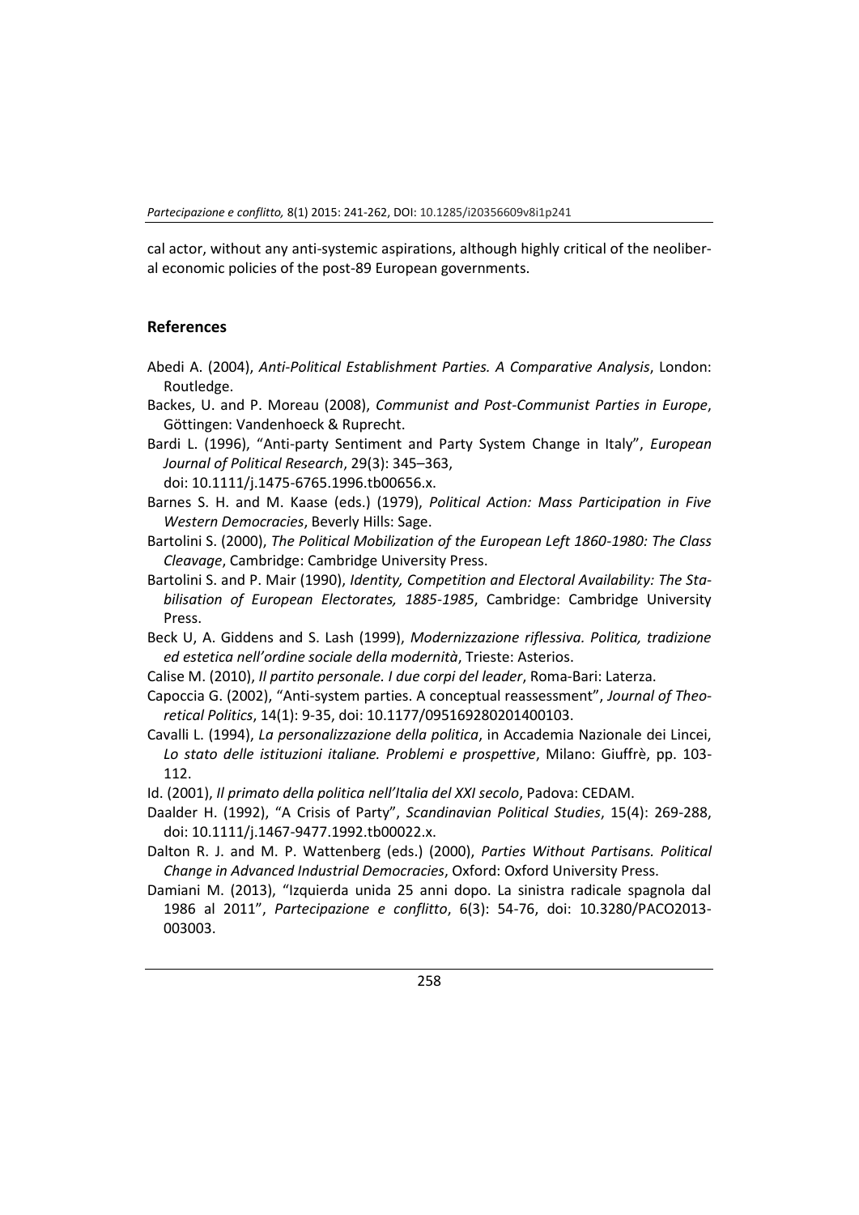cal actor, without any anti-systemic aspirations, although highly critical of the neoliberal economic policies of the post-89 European governments.

### **References**

- Abedi A. (2004), *Anti-Political Establishment Parties. A Comparative Analysis*, London: Routledge.
- Backes, U. and P. Moreau (2008), *Communist and Post-Communist Parties in Europe*, Göttingen: Vandenhoeck & Ruprecht.
- Bardi L. (1996), "Anti-party Sentiment and Party System Change in Italy", *European Journal of Political Research*, 29(3): 345–363,
	- doi: 10.1111/j.1475-6765.1996.tb00656.x.
- Barnes S. H. and M. Kaase (eds.) (1979), *Political Action: Mass Participation in Five Western Democracies*, Beverly Hills: Sage.
- Bartolini S. (2000), *The Political Mobilization of the European Left 1860-1980: The Class Cleavage*, Cambridge: Cambridge University Press.
- Bartolini S. and P. Mair (1990), *Identity, Competition and Electoral Availability: The Stabilisation of European Electorates, 1885-1985*, Cambridge: Cambridge University Press.
- Beck U, A. Giddens and S. Lash (1999), *Modernizzazione riflessiva. Politica, tradizione ed estetica nell'ordine sociale della modernità*, Trieste: Asterios.
- Calise M. (2010), *Il partito personale. I due corpi del leader*, Roma-Bari: Laterza.
- Capoccia G. (2002), "Anti-system parties. A conceptual reassessment", *Journal of Theoretical Politics*, 14(1): 9-35, doi: 10.1177/095169280201400103.
- Cavalli L. (1994), *La personalizzazione della politica*, in Accademia Nazionale dei Lincei, *Lo stato delle istituzioni italiane. Problemi e prospettive*, Milano: Giuffrè, pp. 103- 112.
- Id. (2001), *Il primato della politica nell'Italia del XXI secolo*, Padova: CEDAM.
- Daalder H. (1992), "A Crisis of Party", *Scandinavian Political Studies*, 15(4): 269-288, doi: 10.1111/j.1467-9477.1992.tb00022.x.
- Dalton R. J. and M. P. Wattenberg (eds.) (2000), *Parties Without Partisans. Political Change in Advanced Industrial Democracies*, Oxford: Oxford University Press.
- Damiani M. (2013), "Izquierda unida 25 anni dopo. La sinistra radicale spagnola dal 1986 al 2011", *Partecipazione e conflitto*, 6(3): 54-76, doi: 10.3280/PACO2013- 003003.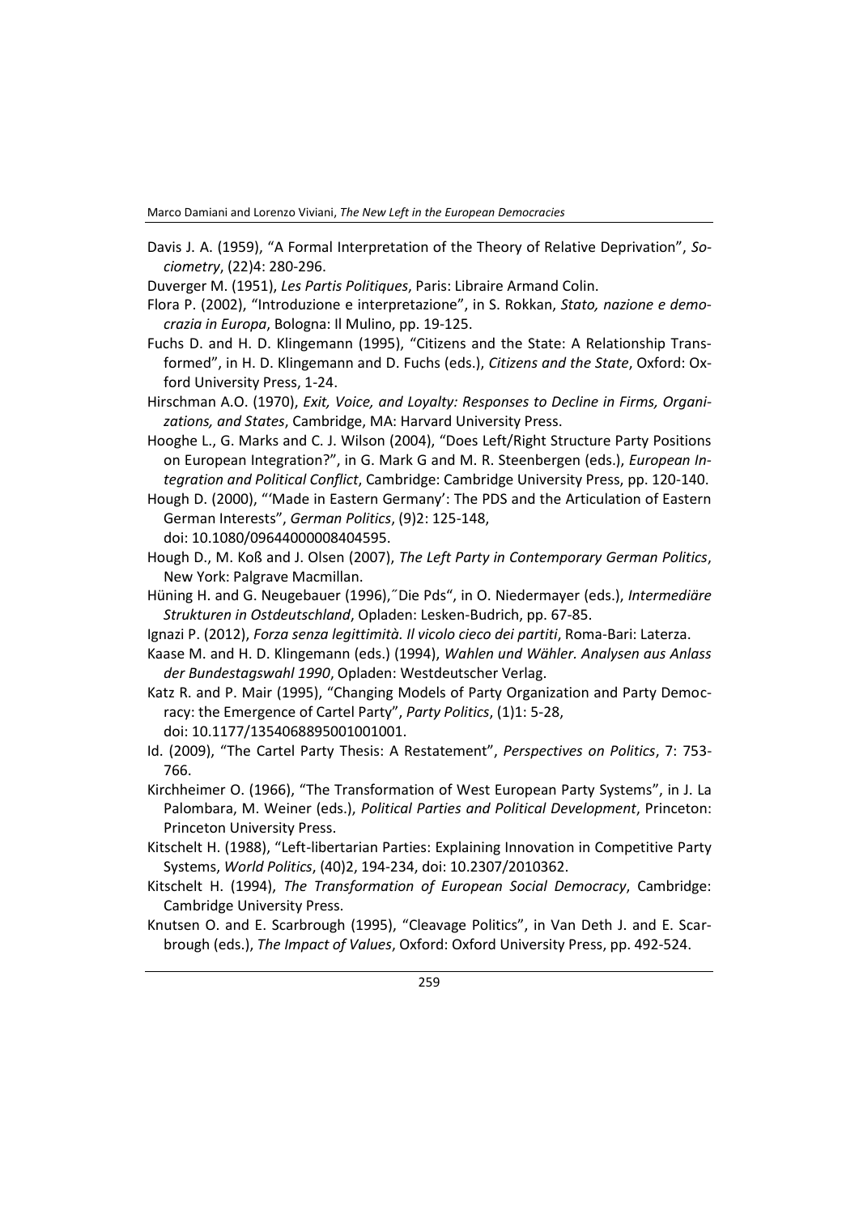Marco Damiani and Lorenzo Viviani, *The New Left in the European Democracies*

Davis J. A. (1959), "A Formal Interpretation of the Theory of Relative Deprivation", *Sociometry*, (22)4: 280-296.

Duverger M. (1951), *Les Partis Politiques*, Paris: Libraire Armand Colin.

- Flora P. (2002), "Introduzione e interpretazione", in S. Rokkan, *Stato, nazione e democrazia in Europa*, Bologna: Il Mulino, pp. 19-125.
- Fuchs D. and H. D. Klingemann (1995), "Citizens and the State: A Relationship Transformed", in H. D. Klingemann and D. Fuchs (eds.), *Citizens and the State*, Oxford: Oxford University Press, 1-24.
- Hirschman A.O. (1970), *Exit, Voice, and Loyalty: Responses to Decline in Firms, Organizations, and States*, Cambridge, MA: Harvard University Press.
- Hooghe L., G. Marks and C. J. Wilson (2004), "Does Left/Right Structure Party Positions on European Integration?", in G. Mark G and M. R. Steenbergen (eds.), *European Integration and Political Conflict*, Cambridge: Cambridge University Press, pp. 120-140.
- Hough D. (2000), "'Made in Eastern Germany': The PDS and the Articulation of Eastern German Interests", *German Politics*, (9)2: 125-148, doi: 10.1080/09644000008404595.
- Hough D., M. Koß and J. Olsen (2007), *The Left Party in Contemporary German Politics*, New York: Palgrave Macmillan.
- Hüning H. and G. Neugebauer (1996),˝Die Pds", in O. Niedermayer (eds.), *Intermediäre Strukturen in Ostdeutschland*, Opladen: Lesken-Budrich, pp. 67-85.
- Ignazi P. (2012), *Forza senza legittimità. Il vicolo cieco dei partiti*, Roma-Bari: Laterza.
- Kaase M. and H. D. Klingemann (eds.) (1994), *Wahlen und Wähler. Analysen aus Anlass der Bundestagswahl 1990*, Opladen: Westdeutscher Verlag.
- Katz R. and P. Mair (1995), "Changing Models of Party Organization and Party Democracy: the Emergence of Cartel Party", *Party Politics*, (1)1: 5-28, doi: 10.1177/1354068895001001001.
- Id. (2009), "The Cartel Party Thesis: A Restatement", *Perspectives on Politics*, 7: 753- 766.
- Kirchheimer O. (1966), "The Transformation of West European Party Systems", in J. La Palombara, M. Weiner (eds.), *Political Parties and Political Development*, Princeton: Princeton University Press.
- Kitschelt H. (1988), "Left-libertarian Parties: Explaining Innovation in Competitive Party Systems, *World Politics*, (40)2, 194-234, doi: 10.2307/2010362.
- Kitschelt H. (1994), *The Transformation of European Social Democracy*, Cambridge: Cambridge University Press.
- Knutsen O. and E. Scarbrough (1995), "Cleavage Politics", in Van Deth J. and E. Scarbrough (eds.), *The Impact of Values*, Oxford: Oxford University Press, pp. 492-524.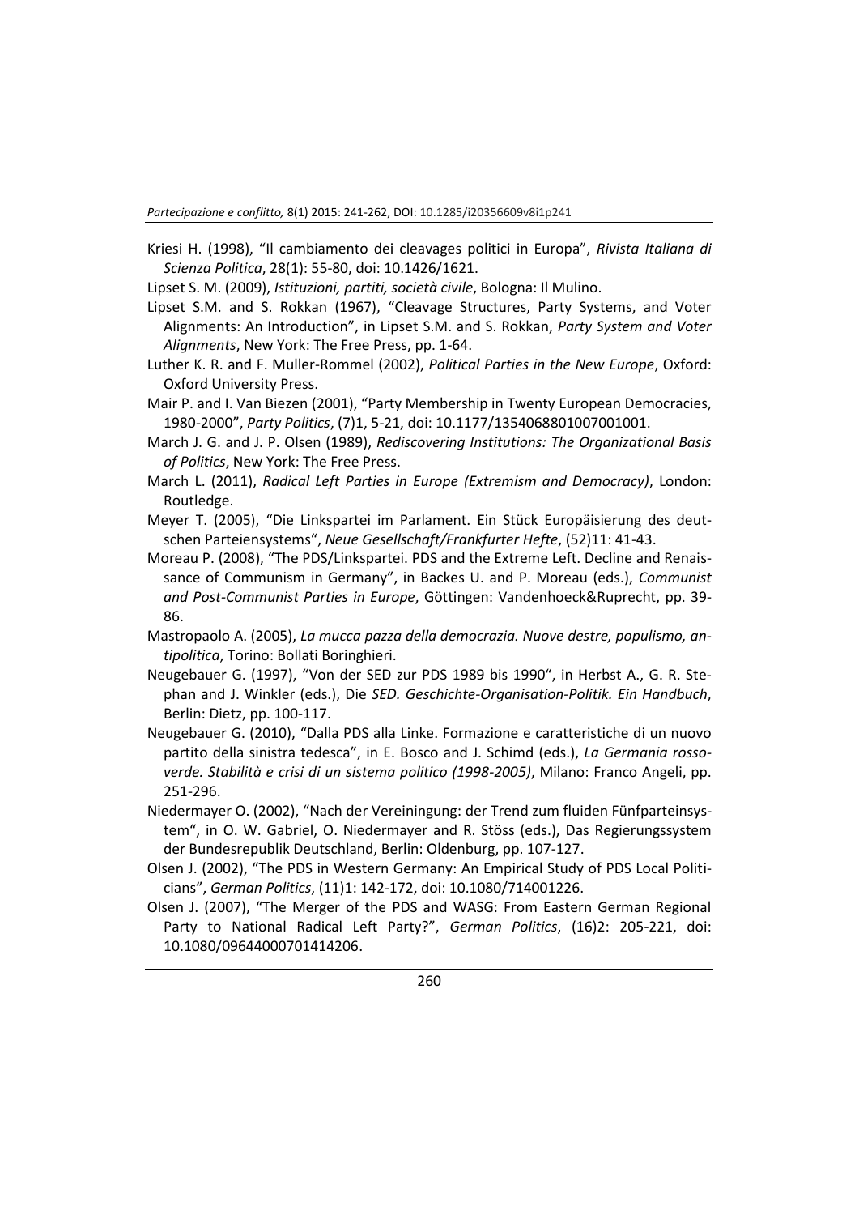*Partecipazione e conflitto,* 8(1) 2015: 241-262, DOI: 10.1285/i20356609v8i1p241

- Kriesi H. (1998), "Il cambiamento dei cleavages politici in Europa", *Rivista Italiana di Scienza Politica*, 28(1): 55-80, doi: 10.1426/1621.
- Lipset S. M. (2009), *Istituzioni, partiti, società civile*, Bologna: Il Mulino.
- Lipset S.M. and S. Rokkan (1967), "Cleavage Structures, Party Systems, and Voter Alignments: An Introduction", in Lipset S.M. and S. Rokkan, *Party System and Voter Alignments*, New York: The Free Press, pp. 1-64.
- Luther K. R. and F. Muller-Rommel (2002), *Political Parties in the New Europe*, Oxford: Oxford University Press.
- Mair P. and I. Van Biezen (2001), "Party Membership in Twenty European Democracies, 1980-2000", *Party Politics*, (7)1, 5-21, doi: 10.1177/1354068801007001001.
- March J. G. and J. P. Olsen (1989), *Rediscovering Institutions: The Organizational Basis of Politics*, New York: The Free Press.
- March L. (2011), *Radical Left Parties in Europe (Extremism and Democracy)*, London: Routledge.
- Meyer T. (2005), "Die Linkspartei im Parlament. Ein Stück Europäisierung des deutschen Parteiensystems", *Neue Gesellschaft/Frankfurter Hefte*, (52)11: 41-43.
- Moreau P. (2008), "The PDS/Linkspartei. PDS and the Extreme Left. Decline and Renaissance of Communism in Germany", in Backes U. and P. Moreau (eds.), *Communist and Post-Communist Parties in Europe*, Göttingen: Vandenhoeck&Ruprecht, pp. 39- 86.
- Mastropaolo A. (2005), *La mucca pazza della democrazia. Nuove destre, populismo, antipolitica*, Torino: Bollati Boringhieri.
- Neugebauer G. (1997), "Von der SED zur PDS 1989 bis 1990", in Herbst A., G. R. Stephan and J. Winkler (eds.), Die *SED. Geschichte-Organisation-Politik. Ein Handbuch*, Berlin: Dietz, pp. 100-117.
- Neugebauer G. (2010), "Dalla PDS alla Linke. Formazione e caratteristiche di un nuovo partito della sinistra tedesca", in E. Bosco and J. Schimd (eds.), *La Germania rossoverde. Stabilità e crisi di un sistema politico (1998-2005)*, Milano: Franco Angeli, pp. 251-296.
- Niedermayer O. (2002), "Nach der Vereiningung: der Trend zum fluiden Fünfparteinsystem", in O. W. Gabriel, O. Niedermayer and R. Stöss (eds.), Das Regierungssystem der Bundesrepublik Deutschland, Berlin: Oldenburg, pp. 107-127.
- Olsen J. (2002), "The PDS in Western Germany: An Empirical Study of PDS Local Politicians", *German Politics*, (11)1: 142-172, doi: 10.1080/714001226.
- Olsen J. (2007), "The Merger of the PDS and WASG: From Eastern German Regional Party to National Radical Left Party?", *German Politics*, (16)2: 205-221, doi: 10.1080/09644000701414206.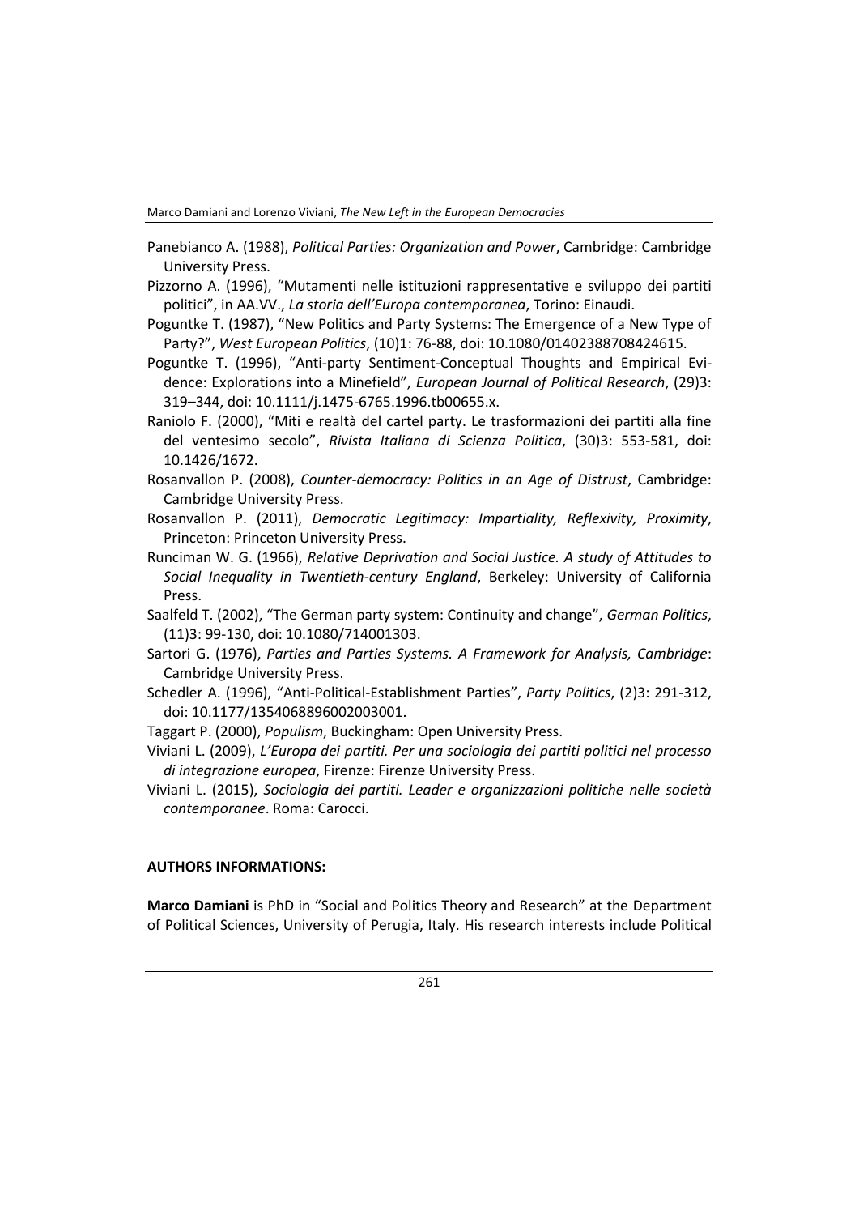Marco Damiani and Lorenzo Viviani, *The New Left in the European Democracies*

- Panebianco A. (1988), *Political Parties: Organization and Power*, Cambridge: Cambridge University Press.
- Pizzorno A. (1996), "Mutamenti nelle istituzioni rappresentative e sviluppo dei partiti politici", in AA.VV., *La storia dell'Europa contemporanea*, Torino: Einaudi.
- Poguntke T. (1987), "New Politics and Party Systems: The Emergence of a New Type of Party?", *West European Politics*, (10)1: 76-88, doi: 10.1080/01402388708424615.
- Poguntke T. (1996), "Anti-party Sentiment-Conceptual Thoughts and Empirical Evidence: Explorations into a Minefield", *European Journal of Political Research*, (29)3: 319–344, doi: 10.1111/j.1475-6765.1996.tb00655.x.
- Raniolo F. (2000), "Miti e realtà del cartel party. Le trasformazioni dei partiti alla fine del ventesimo secolo", *Rivista Italiana di Scienza Politica*, (30)3: 553-581, doi: 10.1426/1672.
- Rosanvallon P. (2008), *Counter-democracy: Politics in an Age of Distrust*, Cambridge: Cambridge University Press.
- Rosanvallon P. (2011), *Democratic Legitimacy: Impartiality, Reflexivity, Proximity*, Princeton: Princeton University Press.
- Runciman W. G. (1966), *Relative Deprivation and Social Justice. A study of Attitudes to Social Inequality in Twentieth-century England*, Berkeley: University of California Press.
- Saalfeld T. (2002), "The German party system: Continuity and change", *German Politics*, (11)3: 99-130, doi: 10.1080/714001303.
- Sartori G. (1976), *Parties and Parties Systems. A Framework for Analysis, Cambridge*: Cambridge University Press.
- Schedler A. (1996), "Anti-Political-Establishment Parties", *Party Politics*, (2)3: 291-312, doi: 10.1177/1354068896002003001.
- Taggart P. (2000), *Populism*, Buckingham: Open University Press.
- Viviani L. (2009), *L'Europa dei partiti. Per una sociologia dei partiti politici nel processo di integrazione europea*, Firenze: Firenze University Press.
- Viviani L. (2015), *Sociologia dei partiti. Leader e organizzazioni politiche nelle società contemporanee*. Roma: Carocci.

### **AUTHORS INFORMATIONS:**

**Marco Damiani** is PhD in "Social and Politics Theory and Research" at the Department of Political Sciences, University of Perugia, Italy. His research interests include Political